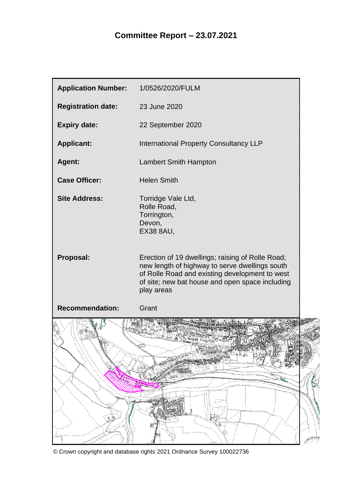| <b>Application Number:</b>       | 1/0526/2020/FULM                                                                                                                                                                                                      |
|----------------------------------|-----------------------------------------------------------------------------------------------------------------------------------------------------------------------------------------------------------------------|
| <b>Registration date:</b>        | 23 June 2020                                                                                                                                                                                                          |
| <b>Expiry date:</b>              | 22 September 2020                                                                                                                                                                                                     |
| <b>Applicant:</b>                | <b>International Property Consultancy LLP</b>                                                                                                                                                                         |
| Agent:                           | <b>Lambert Smith Hampton</b>                                                                                                                                                                                          |
| <b>Case Officer:</b>             | <b>Helen Smith</b>                                                                                                                                                                                                    |
| <b>Site Address:</b>             | Torridge Vale Ltd,<br>Rolle Road,<br>Torrington,<br>Devon,<br><b>EX38 8AU,</b>                                                                                                                                        |
| Proposal:                        | Erection of 19 dwellings; raising of Rolle Road;<br>new length of highway to serve dwellings south<br>of Rolle Road and existing development to west<br>of site; new bat house and open space including<br>play areas |
| <b>Recommendation:</b>           | Grant                                                                                                                                                                                                                 |
| P)<br><b>Collage Report</b><br>չ | <b>FREEDOR</b><br>蜃<br><b>All Property</b><br><b>TELEP</b><br>腰<br><b>THE STATE</b><br>୍ଲିଁ                                                                                                                           |
| -2<br>ال<br>عباره                | $\frac{1}{\sqrt{2}}$<br>g<br>e<br>따                                                                                                                                                                                   |

© Crown copyright and database rights 2021 Ordnance Survey 100022736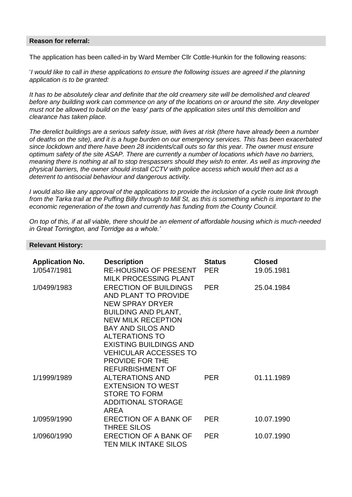#### **Reason for referral:**

The application has been called-in by Ward Member Cllr Cottle-Hunkin for the following reasons:

'*I would like to call in these applications to ensure the following issues are agreed if the planning application is to be granted:*

*It has to be absolutely clear and definite that the old creamery site will be demolished and cleared before any building work can commence on any of the locations on or around the site. Any developer must not be allowed to build on the 'easy' parts of the application sites until this demolition and clearance has taken place.*

*The derelict buildings are a serious safety issue, with lives at risk (there have already been a number of deaths on the site), and it is a huge burden on our emergency services. This has been exacerbated since lockdown and there have been 28 incidents/call outs so far this year. The owner must ensure optimum safety of the site ASAP. There are currently a number of locations which have no barriers, meaning there is nothing at all to stop trespassers should they wish to enter. As well as improving the physical barriers, the owner should install CCTV with police access which would then act as a deterrent to antisocial behaviour and dangerous activity.*

*I would also like any approval of the applications to provide the inclusion of a cycle route link through from the Tarka trail at the Puffing Billy through to Mill St, as this is something which is important to the economic regeneration of the town and currently has funding from the County Council.*

*On top of this, if at all viable, there should be an element of affordable housing which is much-needed in Great Torrington, and Torridge as a whole.'*

#### **Relevant History:**

| <b>Application No.</b><br>1/0547/1981 | <b>Description</b><br><b>RE-HOUSING OF PRESENT</b><br><b>MILK PROCESSING PLANT</b>                                                                                                                                                                                                        | <b>Status</b><br><b>PER</b> | <b>Closed</b><br>19.05.1981 |
|---------------------------------------|-------------------------------------------------------------------------------------------------------------------------------------------------------------------------------------------------------------------------------------------------------------------------------------------|-----------------------------|-----------------------------|
| 1/0499/1983                           | <b>ERECTION OF BUILDINGS</b><br>AND PLANT TO PROVIDE<br><b>NEW SPRAY DRYER</b><br><b>BUILDING AND PLANT,</b><br><b>NEW MILK RECEPTION</b><br><b>BAY AND SILOS AND</b><br><b>ALTERATIONS TO</b><br><b>EXISTING BUILDINGS AND</b><br><b>VEHICULAR ACCESSES TO</b><br><b>PROVIDE FOR THE</b> | <b>PER</b>                  | 25.04.1984                  |
| 1/1999/1989                           | <b>REFURBISHMENT OF</b><br><b>ALTERATIONS AND</b><br><b>EXTENSION TO WEST</b><br><b>STORE TO FORM</b><br><b>ADDITIONAL STORAGE</b><br><b>AREA</b>                                                                                                                                         | <b>PER</b>                  | 01.11.1989                  |
| 1/0959/1990                           | <b>ERECTION OF A BANK OF</b><br><b>THREE SILOS</b>                                                                                                                                                                                                                                        | <b>PER</b>                  | 10.07.1990                  |
| 1/0960/1990                           | <b>ERECTION OF A BANK OF</b><br><b>TEN MILK INTAKE SILOS</b>                                                                                                                                                                                                                              | <b>PER</b>                  | 10.07.1990                  |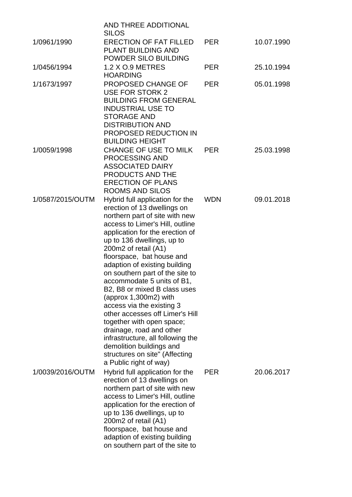|                  | <b>AND THREE ADDITIONAL</b><br><b>SILOS</b>                                                                                                                                                                                                                                                                                                                                                                                                                                                                                                                                                                                                                                   |            |            |
|------------------|-------------------------------------------------------------------------------------------------------------------------------------------------------------------------------------------------------------------------------------------------------------------------------------------------------------------------------------------------------------------------------------------------------------------------------------------------------------------------------------------------------------------------------------------------------------------------------------------------------------------------------------------------------------------------------|------------|------------|
| 1/0961/1990      | <b>ERECTION OF FAT FILLED</b><br>PLANT BUILDING AND<br>POWDER SILO BUILDING                                                                                                                                                                                                                                                                                                                                                                                                                                                                                                                                                                                                   | <b>PER</b> | 10.07.1990 |
| 1/0456/1994      | 1.2 X O.9 METRES<br><b>HOARDING</b>                                                                                                                                                                                                                                                                                                                                                                                                                                                                                                                                                                                                                                           | <b>PER</b> | 25.10.1994 |
| 1/1673/1997      | PROPOSED CHANGE OF<br><b>USE FOR STORK 2</b><br><b>BUILDING FROM GENERAL</b><br><b>INDUSTRIAL USE TO</b><br><b>STORAGE AND</b><br><b>DISTRIBUTION AND</b><br>PROPOSED REDUCTION IN<br><b>BUILDING HEIGHT</b>                                                                                                                                                                                                                                                                                                                                                                                                                                                                  | <b>PER</b> | 05.01.1998 |
| 1/0059/1998      | CHANGE OF USE TO MILK<br>PROCESSING AND<br><b>ASSOCIATED DAIRY</b><br>PRODUCTS AND THE<br><b>ERECTION OF PLANS</b><br><b>ROOMS AND SILOS</b>                                                                                                                                                                                                                                                                                                                                                                                                                                                                                                                                  | <b>PER</b> | 25.03.1998 |
| 1/0587/2015/OUTM | Hybrid full application for the<br>erection of 13 dwellings on<br>northern part of site with new<br>access to Limer's Hill, outline<br>application for the erection of<br>up to 136 dwellings, up to<br>200m2 of retail (A1)<br>floorspace, bat house and<br>adaption of existing building<br>on southern part of the site to<br>accommodate 5 units of B1,<br>B2, B8 or mixed B class uses<br>(approx $1,300m2$ ) with<br>access via the existing 3<br>other accesses off Limer's Hill<br>together with open space;<br>drainage, road and other<br>infrastructure, all following the<br>demolition buildings and<br>structures on site" (Affecting<br>a Public right of way) | <b>WDN</b> | 09.01.2018 |
| 1/0039/2016/OUTM | Hybrid full application for the<br>erection of 13 dwellings on<br>northern part of site with new<br>access to Limer's Hill, outline<br>application for the erection of<br>up to 136 dwellings, up to<br>200m2 of retail (A1)<br>floorspace, bat house and<br>adaption of existing building<br>on southern part of the site to                                                                                                                                                                                                                                                                                                                                                 | <b>PER</b> | 20.06.2017 |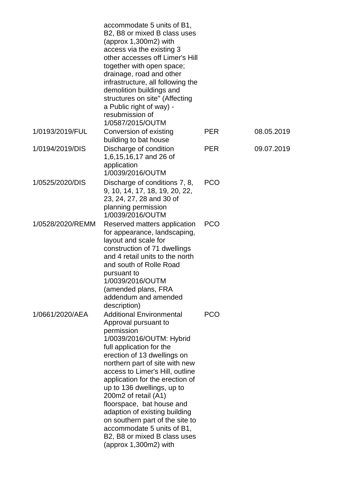|                  | accommodate 5 units of B1,<br>B2, B8 or mixed B class uses<br>(approx 1,300m2) with<br>access via the existing 3<br>other accesses off Limer's Hill<br>together with open space;<br>drainage, road and other<br>infrastructure, all following the<br>demolition buildings and<br>structures on site" (Affecting<br>a Public right of way) -<br>resubmission of<br>1/0587/2015/OUTM                                                                                                                                    |            |            |
|------------------|-----------------------------------------------------------------------------------------------------------------------------------------------------------------------------------------------------------------------------------------------------------------------------------------------------------------------------------------------------------------------------------------------------------------------------------------------------------------------------------------------------------------------|------------|------------|
| 1/0193/2019/FUL  | Conversion of existing<br>building to bat house                                                                                                                                                                                                                                                                                                                                                                                                                                                                       | <b>PER</b> | 08.05.2019 |
| 1/0194/2019/DIS  | Discharge of condition<br>1,6,15,16,17 and 26 of<br>application<br>1/0039/2016/OUTM                                                                                                                                                                                                                                                                                                                                                                                                                                   | <b>PER</b> | 09.07.2019 |
| 1/0525/2020/DIS  | Discharge of conditions 7, 8,<br>9, 10, 14, 17, 18, 19, 20, 22,<br>23, 24, 27, 28 and 30 of<br>planning permission<br>1/0039/2016/OUTM                                                                                                                                                                                                                                                                                                                                                                                | <b>PCO</b> |            |
| 1/0528/2020/REMM | Reserved matters application<br>for appearance, landscaping,<br>layout and scale for<br>construction of 71 dwellings<br>and 4 retail units to the north<br>and south of Rolle Road<br>pursuant to<br>1/0039/2016/OUTM<br>(amended plans, FRA<br>addendum and amended<br>description)                                                                                                                                                                                                                                  | <b>PCO</b> |            |
| 1/0661/2020/AEA  | <b>Additional Environmental</b><br>Approval pursuant to<br>permission<br>1/0039/2016/OUTM: Hybrid<br>full application for the<br>erection of 13 dwellings on<br>northern part of site with new<br>access to Limer's Hill, outline<br>application for the erection of<br>up to 136 dwellings, up to<br>200m2 of retail (A1)<br>floorspace, bat house and<br>adaption of existing building<br>on southern part of the site to<br>accommodate 5 units of B1,<br>B2, B8 or mixed B class uses<br>(approx $1,300m2$ ) with | <b>PCO</b> |            |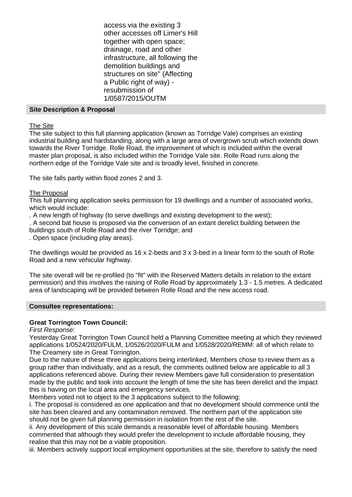access via the existing 3 other accesses off Limer's Hill together with open space; drainage, road and other infrastructure, all following the demolition buildings and structures on site" (Affecting a Public right of way) resubmission of 1/0587/2015/OUTM

### **Site Description & Proposal**

The Site

The site subject to this full planning application (known as Torridge Vale) comprises an existing industrial building and hardstanding, along with a large area of overgrown scrub which extends down towards the River Torridge. Rolle Road, the improvement of which is included within the overall master plan proposal, is also included within the Torridge Vale site. Rolle Road runs along the northern edge of the Torridge Vale site and is broadly level, finished in concrete.

The site falls partly within flood zones 2 and 3.

### The Proposal

This full planning application seeks permission for 19 dwellings and a number of associated works, which would include:

. A new length of highway (to serve dwellings and existing development to the west);

. A second bat house is proposed via the conversion of an extant derelict building between the buildings south of Rolle Road and the river Torridge; and

. Open space (including play areas).

The dwellings would be provided as 16 x 2-beds and 3 x 3-bed in a linear form to the south of Rolle Road and a new vehicular highway.

The site overall will be re-profiled (to "fit" with the Reserved Matters details in relation to the extant permission) and this involves the raising of Rolle Road by approximately 1.3 - 1.5 metres. A dedicated area of landscaping will be provided between Rolle Road and the new access road.

#### **Consultee representations:**

## **Great Torrington Town Council:**

## *First Response*:

Yesterday Great Torrington Town Council held a Planning Committee meeting at which they reviewed applications 1/0524/2020/FULM, 1/0526/2020/FULM and 1/0528/2020/REMM: all of which relate to The Creamery site in Great Torrington.

Due to the nature of these three applications being interlinked, Members chose to review them as a group rather than individually, and as a result, the comments outlined below are applicable to all 3 applications referenced above. During their review Members gave full consideration to presentation made by the public and took into account the length of time the site has been derelict and the impact this is having on the local area and emergency services.

Members voted not to object to the 3 applications subject to the following:

i. The proposal is considered as one application and that no development should commence until the site has been cleared and any contamination removed. The northern part of the application site should not be given full planning permission in isolation from the rest of the site.

ii. Any development of this scale demands a reasonable level of affordable housing. Members commented that although they would prefer the development to include affordable housing, they realise that this may not be a viable proposition.

iii. Members actively support local employment opportunities at the site, therefore to satisfy the need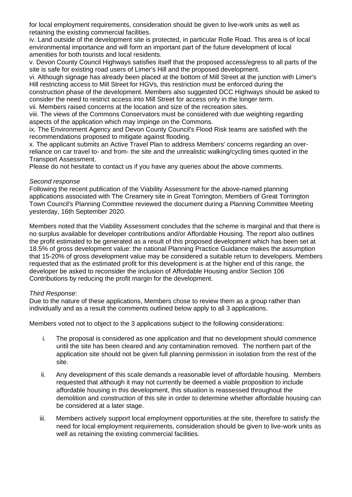for local employment requirements, consideration should be given to live-work units as well as retaining the existing commercial facilities.

iv. Land outside of the development site is protected, in particular Rolle Road. This area is of local environmental importance and will form an important part of the future development of local amenities for both tourists and local residents.

v. Devon County Council Highways satisfies itself that the proposed access/egress to all parts of the site is safe for existing road users of Limer's Hill and the proposed development.

vi. Although signage has already been placed at the bottom of Mill Street at the junction with Limer's Hill restricting access to Mill Street for HGVs, this restriction must be enforced during the construction phase of the development. Members also suggested DCC Highways should be asked to consider the need to restrict access into Mill Street for access only in the longer term.

vii. Members raised concerns at the location and size of the recreation sites.

viii. The views of the Commons Conservators must be considered with due weighting regarding aspects of the application which may impinge on the Commons.

ix. The Environment Agency and Devon County Council's Flood Risk teams are satisfied with the recommendations proposed to mitigate against flooding.

x. The applicant submits an Active Travel Plan to address Members' concerns regarding an overreliance on car travel to- and from- the site and the unrealistic walking/cycling times quoted in the Transport Assessment.

Please do not hesitate to contact us if you have any queries about the above comments.

### *Second response*

Following the recent publication of the Viability Assessment for the above-named planning applications associated with The Creamery site in Great Torrington, Members of Great Torrington Town Council's Planning Committee reviewed the document during a Planning Committee Meeting yesterday, 16th September 2020.

Members noted that the Viability Assessment concludes that the scheme is marginal and that there is no surplus available for developer contributions and/or Affordable Housing. The report also outlines the profit estimated to be generated as a result of this proposed development which has been set at 18.5% of gross development value: the national Planning Practice Guidance makes the assumption that 15-20% of gross development value may be considered a suitable return to developers. Members requested that as the estimated profit for this development is at the higher end of this range, the developer be asked to reconsider the inclusion of Affordable Housing and/or Section 106 Contributions by reducing the profit margin for the development.

#### *Third Response*:

Due to the nature of these applications, Members chose to review them as a group rather than individually and as a result the comments outlined below apply to all 3 applications.

Members voted not to object to the 3 applications subject to the following considerations:

- i. The proposal is considered as one application and that no development should commence until the site has been cleared and any contamination removed. The northern part of the application site should not be given full planning permission in isolation from the rest of the site.
- ii. Any development of this scale demands a reasonable level of affordable housing. Members requested that although it may not currently be deemed a viable proposition to include affordable housing in this development, this situation is reassessed throughout the demolition and construction of this site in order to determine whether affordable housing can be considered at a later stage.
- iii. Members actively support local employment opportunities at the site, therefore to satisfy the need for local employment requirements, consideration should be given to live-work units as well as retaining the existing commercial facilities.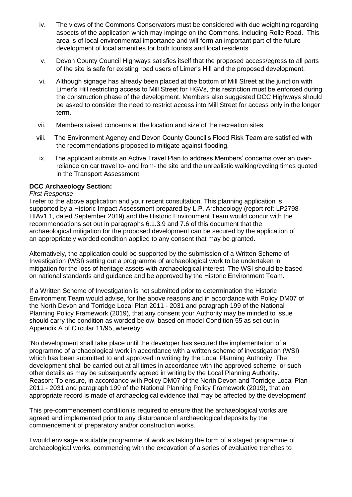- iv. The views of the Commons Conservators must be considered with due weighting regarding aspects of the application which may impinge on the Commons, including Rolle Road. This area is of local environmental importance and will form an important part of the future development of local amenities for both tourists and local residents.
- v. Devon County Council Highways satisfies itself that the proposed access/egress to all parts of the site is safe for existing road users of Limer's Hill and the proposed development.
- vi. Although signage has already been placed at the bottom of Mill Street at the junction with Limer's Hill restricting access to Mill Street for HGVs, this restriction must be enforced during the construction phase of the development. Members also suggested DCC Highways should be asked to consider the need to restrict access into Mill Street for access only in the longer term.
- vii. Members raised concerns at the location and size of the recreation sites.
- viii. The Environment Agency and Devon County Council's Flood Risk Team are satisfied with the recommendations proposed to mitigate against flooding.
- ix. The applicant submits an Active Travel Plan to address Members' concerns over an overreliance on car travel to- and from- the site and the unrealistic walking/cycling times quoted in the Transport Assessment.

## **DCC Archaeology Section:**

### *First Response*:

I refer to the above application and your recent consultation. This planning application is supported by a Historic Impact Assessment prepared by L.P. Archaeology (report ref: LP2798- HIAv1.1, dated September 2019) and the Historic Environment Team would concur with the recommendations set out in paragraphs 6.1.3.9 and 7.6 of this document that the archaeological mitigation for the proposed development can be secured by the application of an appropriately worded condition applied to any consent that may be granted.

Alternatively, the application could be supported by the submission of a Written Scheme of Investigation (WSI) setting out a programme of archaeological work to be undertaken in mitigation for the loss of heritage assets with archaeological interest. The WSI should be based on national standards and guidance and be approved by the Historic Environment Team.

If a Written Scheme of Investigation is not submitted prior to determination the Historic Environment Team would advise, for the above reasons and in accordance with Policy DM07 of the North Devon and Torridge Local Plan 2011 - 2031 and paragraph 199 of the National Planning Policy Framework (2019), that any consent your Authority may be minded to issue should carry the condition as worded below, based on model Condition 55 as set out in Appendix A of Circular 11/95, whereby:

'No development shall take place until the developer has secured the implementation of a programme of archaeological work in accordance with a written scheme of investigation (WSI) which has been submitted to and approved in writing by the Local Planning Authority. The development shall be carried out at all times in accordance with the approved scheme, or such other details as may be subsequently agreed in writing by the Local Planning Authority. Reason: To ensure, in accordance with Policy DM07 of the North Devon and Torridge Local Plan 2011 - 2031 and paragraph 199 of the National Planning Policy Framework (2019), that an appropriate record is made of archaeological evidence that may be affected by the development'

This pre-commencement condition is required to ensure that the archaeological works are agreed and implemented prior to any disturbance of archaeological deposits by the commencement of preparatory and/or construction works.

I would envisage a suitable programme of work as taking the form of a staged programme of archaeological works, commencing with the excavation of a series of evaluative trenches to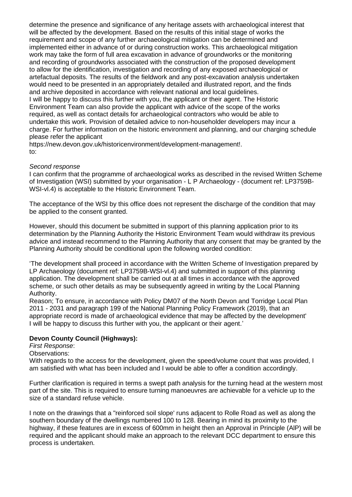determine the presence and significance of any heritage assets with archaeological interest that will be affected by the development. Based on the results of this initial stage of works the requirement and scope of any further archaeological mitigation can be determined and implemented either in advance of or during construction works. This archaeological mitigation work may take the form of full area excavation in advance of groundworks or the monitoring and recording of groundworks associated with the construction of the proposed development to allow for the identification, investigation and recording of any exposed archaeological or artefactual deposits. The results of the fieldwork and any post-excavation analysis undertaken would need to be presented in an appropriately detailed and illustrated report, and the finds and archive deposited in accordance with relevant national and local guidelines. I will be happy to discuss this further with you, the applicant or their agent. The Historic Environment Team can also provide the applicant with advice of the scope of the works required, as well as contact details for archaeological contractors who would be able to undertake this work. Provision of detailed advice to non-householder developers may incur a charge. For further information on the historic environment and planning, and our charging schedule please refer the applicant

https://new.devon.gov.uk/historicenvironment/development-management!. to:

### *Second response*

I can confirm that the programme of archaeological works as described in the revised Written Scheme of Investigation (WSI) submitted by your organisation - L P Archaeology - (document ref: LP3759B-WSI-vl.4) is acceptable to the Historic Environment Team.

The acceptance of the WSI by this office does not represent the discharge of the condition that may be applied to the consent granted.

However, should this document be submitted in support of this planning application prior to its determination by the Planning Authority the Historic Environment Team would withdraw its previous advice and instead recommend to the Planning Authority that any consent that may be granted by the Planning Authority should be conditional upon the following worded condition:

'The development shall proceed in accordance with the Written Scheme of Investigation prepared by LP Archaeology (document ref: LP3759B-WSI-vl.4) and submitted in support of this planning application. The development shall be carried out at all times in accordance with the approved scheme, or such other details as may be subsequently agreed in writing by the Local Planning Authority.

Reason; To ensure, in accordance with Policy DM07 of the North Devon and Torridge Local Plan 2011 - 2031 and paragraph 199 of the National Planning Policy Framework (2019), that an appropriate record is made of archaeological evidence that may be affected by the development' I will be happy to discuss this further with you, the applicant or their agent.'

## **Devon County Council (Highways):**

*First Response*:

Observations:

With regards to the access for the development, given the speed/volume count that was provided, I am satisfied with what has been included and I would be able to offer a condition accordingly.

Further clarification is required in terms a swept path analysis for the turning head at the western most part of the site. This is required to ensure turning manoeuvres are achievable for a vehicle up to the size of a standard refuse vehicle.

I note on the drawings that a "reinforced soil slope' runs adjacent to Rolle Road as well as along the southern boundary of the dwellings numbered 100 to 128. Bearing in mind its proximity to the highway, if these features are in excess of 600mm in height then an Approval in Principle (AlP) will be required and the applicant should make an approach to the relevant DCC department to ensure this process is undertaken.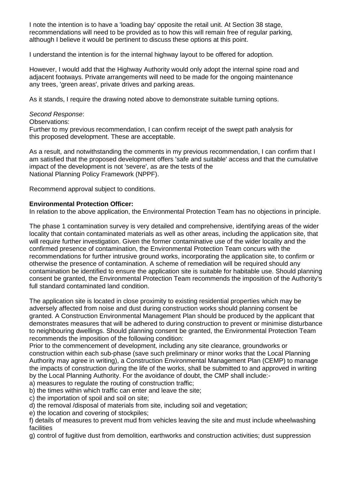I note the intention is to have a 'loading bay' opposite the retail unit. At Section 38 stage, recommendations will need to be provided as to how this will remain free of regular parking, although I believe it would be pertinent to discuss these options at this point.

I understand the intention is for the internal highway layout to be offered for adoption.

However, I would add that the Highway Authority would only adopt the internal spine road and adjacent footways. Private arrangements will need to be made for the ongoing maintenance any trees, 'green areas', private drives and parking areas.

As it stands, I require the drawing noted above to demonstrate suitable turning options.

### *Second Response*:

### Observations:

Further to my previous recommendation, I can confirm receipt of the swept path analysis for this proposed development. These are acceptable.

As a result, and notwithstanding the comments in my previous recommendation, I can confirm that I am satisfied that the proposed development offers 'safe and suitable' access and that the cumulative impact of the development is not 'severe', as are the tests of the National Planning Policy Framework (NPPF).

Recommend approval subject to conditions.

## **Environmental Protection Officer:**

In relation to the above application, the Environmental Protection Team has no objections in principle.

The phase 1 contamination survey is very detailed and comprehensive, identifying areas of the wider locality that contain contaminated materials as well as other areas, including the application site, that will require further investigation. Given the former contaminative use of the wider locality and the confirmed presence of contamination, the Environmental Protection Team concurs with the recommendations for further intrusive ground works, incorporating the application site, to confirm or otherwise the presence of contamination. A scheme of remediation will be required should any contamination be identified to ensure the application site is suitable for habitable use. Should planning consent be granted, the Environmental Protection Team recommends the imposition of the Authority's full standard contaminated land condition.

The application site is located in close proximity to existing residential properties which may be adversely affected from noise and dust during construction works should planning consent be granted. A Construction Environmental Management Plan should be produced by the applicant that demonstrates measures that will be adhered to during construction to prevent or minimise disturbance to neighbouring dwellings. Should planning consent be granted, the Environmental Protection Team recommends the imposition of the following condition:

Prior to the commencement of development, including any site clearance, groundworks or construction within each sub-phase (save such preliminary or minor works that the Local Planning Authority may agree in writing), a Construction Environmental Management Plan (CEMP) to manage the impacts of construction during the life of the works, shall be submitted to and approved in writing by the Local Planning Authority. For the avoidance of doubt, the CMP shall include:-

a) measures to regulate the routing of construction traffic;

b) the times within which traffic can enter and leave the site;

c) the importation of spoil and soil on site;

d) the removal /disposal of materials from site, including soil and vegetation;

e) the location and covering of stockpiles;

f) details of measures to prevent mud from vehicles leaving the site and must include wheelwashing facilities

g) control of fugitive dust from demolition, earthworks and construction activities; dust suppression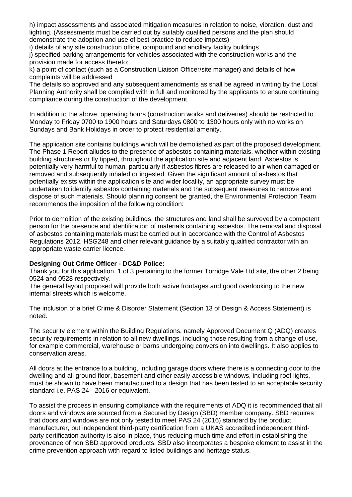h) impact assessments and associated mitigation measures in relation to noise, vibration, dust and lighting. (Assessments must be carried out by suitably qualified persons and the plan should demonstrate the adoption and use of best practice to reduce impacts)

i) details of any site construction office, compound and ancillary facility buildings j) specified parking arrangements for vehicles associated with the construction works and the provision made for access thereto;

k) a point of contact (such as a Construction Liaison Officer/site manager) and details of how complaints will be addressed

The details so approved and any subsequent amendments as shall be agreed in writing by the Local Planning Authority shall be complied with in full and monitored by the applicants to ensure continuing compliance during the construction of the development.

In addition to the above, operating hours (construction works and deliveries) should be restricted to Monday to Friday 0700 to 1900 hours and Saturdays 0800 to 1300 hours only with no works on Sundays and Bank Holidays in order to protect residential amenity.

The application site contains buildings which will be demolished as part of the proposed development. The Phase 1 Report alludes to the presence of asbestos containing materials, whether within existing building structures or fly tipped, throughout the application site and adjacent land. Asbestos is potentially very harmful to human, particularly if asbestos fibres are released to air when damaged or removed and subsequently inhaled or ingested. Given the significant amount of asbestos that potentially exists within the application site and wider locality, an appropriate survey must be undertaken to identify asbestos containing materials and the subsequent measures to remove and dispose of such materials. Should planning consent be granted, the Environmental Protection Team recommends the imposition of the following condition:

Prior to demolition of the existing buildings, the structures and land shall be surveyed by a competent person for the presence and identification of materials containing asbestos. The removal and disposal of asbestos containing materials must be carried out in accordance with the Control of Asbestos Regulations 2012, HSG248 and other relevant guidance by a suitably qualified contractor with an appropriate waste carrier licence.

## **Designing Out Crime Officer - DC&D Police:**

Thank you for this application, 1 of 3 pertaining to the former Torridge Vale Ltd site, the other 2 being 0524 and 0528 respectively.

The general layout proposed will provide both active frontages and good overlooking to the new internal streets which is welcome.

The inclusion of a brief Crime & Disorder Statement (Section 13 of Design & Access Statement) is noted.

The security element within the Building Regulations, namely Approved Document Q (ADQ) creates security requirements in relation to all new dwellings, including those resulting from a change of use, for example commercial, warehouse or barns undergoing conversion into dwellings. It also applies to conservation areas.

All doors at the entrance to a building, including garage doors where there is a connecting door to the dwelling and all ground floor, basement and other easily accessible windows, including roof lights, must be shown to have been manufactured to a design that has been tested to an acceptable security standard i.e. PAS 24 - 2016 or equivalent.

To assist the process in ensuring compliance with the requirements of ADQ it is recommended that all doors and windows are sourced from a Secured by Design (SBD) member company. SBD requires that doors and windows are not only tested to meet PAS 24 (2016) standard by the product manufacturer, but independent third-party certification from a UKAS accredited independent thirdparty certification authority is also in place, thus reducing much time and effort in establishing the provenance of non SBD approved products. SBD also incorporates a bespoke element to assist in the crime prevention approach with regard to listed buildings and heritage status.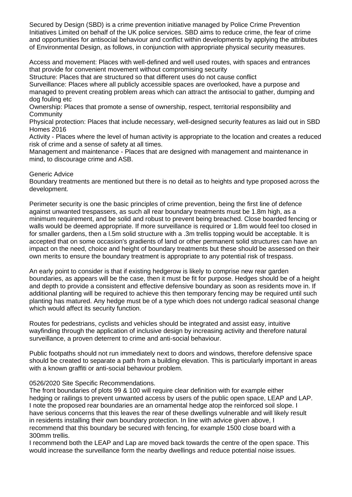Secured by Design (SBD) is a crime prevention initiative managed by Police Crime Prevention Initiatives Limited on behalf of the UK police services. SBD aims to reduce crime, the fear of crime and opportunities for antisocial behaviour and conflict within developments by applying the attributes of Environmental Design, as follows, in conjunction with appropriate physical security measures.

Access and movement: Places with well-defined and well used routes, with spaces and entrances that provide for convenient movement without compromising security

Structure: Places that are structured so that different uses do not cause conflict

Surveillance: Places where all publicly accessible spaces are overlooked, have a purpose and managed to prevent creating problem areas which can attract the antisocial to gather, dumping and dog fouling etc

Ownership: Places that promote a sense of ownership, respect, territorial responsibility and **Community** 

Physical protection: Places that include necessary, well-designed security features as laid out in SBD Homes 2016

Activity - Places where the level of human activity is appropriate to the location and creates a reduced risk of crime and a sense of safety at all times.

Management and maintenance - Places that are designed with management and maintenance in mind, to discourage crime and ASB.

### Generic Advice

Boundary treatments are mentioned but there is no detail as to heights and type proposed across the development.

Perimeter security is one the basic principles of crime prevention, being the first line of defence against unwanted trespassers, as such all rear boundary treatments must be 1.8m high, as a minimum requirement, and be solid and robust to prevent being breached. Close boarded fencing or walls would be deemed appropriate. If more surveillance is required or 1.8m would feel too closed in for smaller gardens, then a l.5m solid structure with a .3m trellis topping would be acceptable. It is accepted that on some occasion's gradients of land or other permanent solid structures can have an impact on the need, choice and height of boundary treatments but these should be assessed on their own merits to ensure the boundary treatment is appropriate to any potential risk of trespass.

An early point to consider is that if existing hedgerow is likely to comprise new rear garden boundaries, as appears will be the case, then it must be fit for purpose. Hedges should be of a height and depth to provide a consistent and effective defensive boundary as soon as residents move in. If additional planting will be required to achieve this then temporary fencing may be required until such planting has matured. Any hedge must be of a type which does not undergo radical seasonal change which would affect its security function.

Routes for pedestrians, cyclists and vehicles should be integrated and assist easy, intuitive wayfinding through the application of inclusive design by increasing activity and therefore natural surveillance, a proven deterrent to crime and anti-social behaviour.

Public footpaths should not run immediately next to doors and windows, therefore defensive space should be created to separate a path from a building elevation. This is particularly important in areas with a known graffiti or anti-social behaviour problem.

## 0526/2020 Site Specific Recommendations.

The front boundaries of plots 99 & 100 will require clear definition with for example either hedging or railings to prevent unwanted access by users of the public open space, LEAP and LAP. I note the proposed rear boundaries are an ornamental hedge atop the reinforced soil slope. I have serious concerns that this leaves the rear of these dwellings vulnerable and will likely result in residents installing their own boundary protection. In line with advice given above, I recommend that this boundary be secured with fencing, for example 1500 close board with a 300mm trellis.

I recommend both the LEAP and Lap are moved back towards the centre of the open space. This would increase the surveillance form the nearby dwellings and reduce potential noise issues.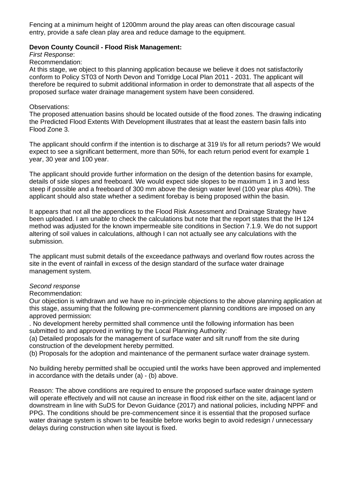Fencing at a minimum height of 1200mm around the play areas can often discourage casual entry, provide a safe clean play area and reduce damage to the equipment.

### **Devon County Council - Flood Risk Management:**

*First Response*:

Recommendation:

At this stage, we object to this planning application because we believe it does not satisfactorily conform to Policy ST03 of North Devon and Torridge Local Plan 2011 - 2031. The applicant will therefore be required to submit additional information in order to demonstrate that all aspects of the proposed surface water drainage management system have been considered.

#### Observations:

The proposed attenuation basins should be located outside of the flood zones. The drawing indicating the Predicted Flood Extents With Development illustrates that at least the eastern basin falls into Flood Zone 3.

The applicant should confirm if the intention is to discharge at 319 I/s for all return periods? We would expect to see a significant betterment, more than 50%, for each return period event for example 1 year, 30 year and 100 year.

The applicant should provide further information on the design of the detention basins for example, details of side slopes and freeboard. We would expect side slopes to be maximum 1 in 3 and less steep if possible and a freeboard of 300 mm above the design water level (100 year plus 40%). The applicant should also state whether a sediment forebay is being proposed within the basin.

It appears that not all the appendices to the Flood Risk Assessment and Drainage Strategy have been uploaded. I am unable to check the calculations but note that the report states that the IH 124 method was adjusted for the known impermeable site conditions in Section 7.1.9. We do not support altering of soil values in calculations, although I can not actually see any calculations with the submission.

The applicant must submit details of the exceedance pathways and overland flow routes across the site in the event of rainfall in excess of the design standard of the surface water drainage management system.

#### *Second response*

Recommendation:

Our objection is withdrawn and we have no in-principle objections to the above planning application at this stage, assuming that the following pre-commencement planning conditions are imposed on any approved permission:

. No development hereby permitted shall commence until the following information has been submitted to and approved in writing by the Local Planning Authority:

(a) Detailed proposals for the management of surface water and silt runoff from the site during construction of the development hereby permitted.

(b) Proposals for the adoption and maintenance of the permanent surface water drainage system.

No building hereby permitted shall be occupied until the works have been approved and implemented in accordance with the details under (a) - (b) above.

Reason: The above conditions are required to ensure the proposed surface water drainage system will operate effectively and will not cause an increase in flood risk either on the site, adjacent land or downstream in line with SuDS for Devon Guidance (2017) and national policies, including NPPF and PPG. The conditions should be pre-commencement since it is essential that the proposed surface water drainage system is shown to be feasible before works begin to avoid redesign / unnecessary delays during construction when site layout is fixed.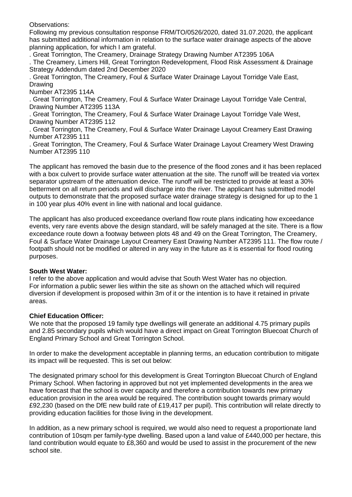Observations:

Following my previous consultation response FRM/TO/0526/2020, dated 31.07.2020, the applicant has submitted additional information in relation to the surface water drainage aspects of the above planning application, for which I am grateful.

. Great Torrington, The Creamery, Drainage Strategy Drawing Number AT2395 106A

. The Creamery, Limers Hill, Great Torrington Redevelopment, Flood Risk Assessment & Drainage Strategy Addendum dated 2nd December 2020

. Great Torrington, The Creamery, Foul & Surface Water Drainage Layout Torridge Vale East, Drawing

Number AT2395 114A

. Great Torrington, The Creamery, Foul & Surface Water Drainage Layout Torridge Vale Central, Drawing Number AT2395 113A

. Great Torrington, The Creamery, Foul & Surface Water Drainage Layout Torridge Vale West, Drawing Number AT2395 112

. Great Torrington, The Creamery, Foul & Surface Water Drainage Layout Creamery East Drawing Number AT2395 111

. Great Torrington, The Creamery, Foul & Surface Water Drainage Layout Creamery West Drawing Number AT2395 110

The applicant has removed the basin due to the presence of the flood zones and it has been replaced with a box culvert to provide surface water attenuation at the site. The runoff will be treated via vortex separator upstream of the attenuation device. The runoff will be restricted to provide at least a 30% betterment on all return periods and will discharge into the river. The applicant has submitted model outputs to demonstrate that the proposed surface water drainage strategy is designed for up to the 1 in 100 year plus 40% event in line with national and local guidance.

The applicant has also produced exceedance overland flow route plans indicating how exceedance events, very rare events above the design standard, will be safely managed at the site. There is a flow exceedance route down a footway between plots 48 and 49 on the Great Torrington, The Creamery, Foul & Surface Water Drainage Layout Creamery East Drawing Number AT2395 111. The flow route / footpath should not be modified or altered in any way in the future as it is essential for flood routing purposes.

## **South West Water:**

I refer to the above application and would advise that South West Water has no objection. For information a public sewer lies within the site as shown on the attached which will required diversion if development is proposed within 3m of it or the intention is to have it retained in private areas.

## **Chief Education Officer:**

We note that the proposed 19 family type dwellings will generate an additional 4.75 primary pupils and 2.85 secondary pupils which would have a direct impact on Great Torrington Bluecoat Church of England Primary School and Great Torrington School.

In order to make the development acceptable in planning terms, an education contribution to mitigate its impact will be requested. This is set out below:

The designated primary school for this development is Great Torrington Bluecoat Church of England Primary School. When factoring in approved but not yet implemented developments in the area we have forecast that the school is over capacity and therefore a contribution towards new primary education provision in the area would be required. The contribution sought towards primary would £92,230 (based on the DfE new build rate of £19,417 per pupil). This contribution will relate directly to providing education facilities for those living in the development.

In addition, as a new primary school is required, we would also need to request a proportionate land contribution of 10sqm per family-type dwelling. Based upon a land value of £440,000 per hectare, this land contribution would equate to £8,360 and would be used to assist in the procurement of the new school site.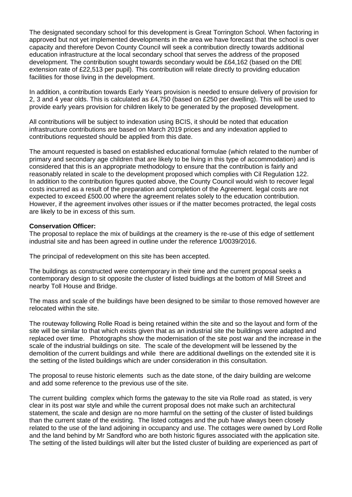The designated secondary school for this development is Great Torrington School. When factoring in approved but not yet implemented developments in the area we have forecast that the school is over capacity and therefore Devon County Council will seek a contribution directly towards additional education infrastructure at the local secondary school that serves the address of the proposed development. The contribution sought towards secondary would be £64,162 (based on the DfE extension rate of £22,513 per pupil). This contribution will relate directly to providing education facilities for those living in the development.

In addition, a contribution towards Early Years provision is needed to ensure delivery of provision for 2, 3 and 4 year olds. This is calculated as £4,750 (based on £250 per dwelling). This will be used to provide early years provision for children likely to be generated by the proposed development.

All contributions will be subject to indexation using BCIS, it should be noted that education infrastructure contributions are based on March 2019 prices and any indexation applied to contributions requested should be applied from this date.

The amount requested is based on established educational formulae (which related to the number of primary and secondary age children that are likely to be living in this type of accommodation) and is considered that this is an appropriate methodology to ensure that the contribution is fairly and reasonably related in scale to the development proposed which complies with Cil Regulation 122. In addition to the contribution figures quoted above, the County Council would wish to recover legal costs incurred as a result of the preparation and completion of the Agreement. legal costs are not expected to exceed £500.00 where the agreement relates solely to the education contribution. However, if the agreement involves other issues or if the matter becomes protracted, the legal costs are likely to be in excess of this sum.

### **Conservation Officer:**

The proposal to replace the mix of buildings at the creamery is the re-use of this edge of settlement industrial site and has been agreed in outline under the reference 1/0039/2016.

The principal of redevelopment on this site has been accepted.

The buildings as constructed were contemporary in their time and the current proposal seeks a contemporary design to sit opposite the cluster of listed buidlings at the bottom of Mill Street and nearby Toll House and Bridge.

The mass and scale of the buildings have been designed to be similar to those removed however are relocated within the site.

The routeway following Rolle Road is being retained within the site and so the layout and form of the site will be similar to that which exists given that as an industrial site the buildings were adapted and replaced over time. Photographs show the modernisation of the site post war and the increase in the scale of the industrial buildings on site. The scale of the development will be lessened by the demolition of the current buildings and while there are additional dwellings on the extended site it is the setting of the listed buildings which are under consideration in this consultation.

The proposal to reuse historic elements such as the date stone, of the dairy building are welcome and add some reference to the previous use of the site.

The current building complex which forms the gateway to the site via Rolle road as stated, is very clear in its post war style and while the current proposal does not make such an architectural statement, the scale and design are no more harmful on the setting of the cluster of listed buildings than the current state of the existing. The listed cottages and the pub have always been closely related to the use of the land adjoining in occupancy and use. The cottages were owned by Lord Rolle and the land behind by Mr Sandford who are both historic figures associated with the application site. The setting of the listed buildings will alter but the listed cluster of building are experienced as part of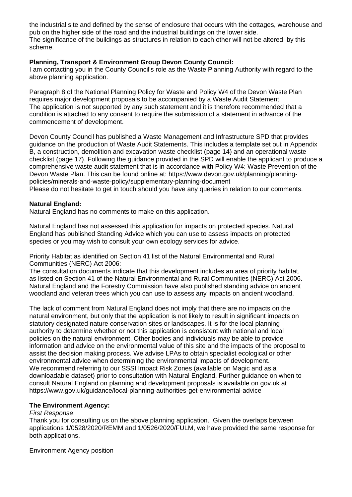the industrial site and defined by the sense of enclosure that occurs with the cottages, warehouse and pub on the higher side of the road and the industrial buildings on the lower side. The significance of the buildings as structures in relation to each other will not be altered by this scheme.

## **Planning, Transport & Environment Group Devon County Council:**

I am contacting you in the County Council's role as the Waste Planning Authority with regard to the above planning application.

Paragraph 8 of the National Planning Policy for Waste and Policy W4 of the Devon Waste Plan requires major development proposals to be accompanied by a Waste Audit Statement. The application is not supported by any such statement and it is therefore recommended that a condition is attached to any consent to require the submission of a statement in advance of the commencement of development.

Devon County Council has published a Waste Management and Infrastructure SPD that provides guidance on the production of Waste Audit Statements. This includes a template set out in Appendix B, a construction, demolition and excavation waste checklist (page 14) and an operational waste checklist (page 17). Following the guidance provided in the SPD will enable the applicant to produce a comprehensive waste audit statement that is in accordance with Policy W4: Waste Prevention of the Devon Waste Plan. This can be found online at: https://www.devon.gov.uk/planning/planningpolicies/minerals-and-waste-policy/supplementary-planning-document Please do not hesitate to get in touch should you have any queries in relation to our comments.

# **Natural England:**

Natural England has no comments to make on this application.

Natural England has not assessed this application for impacts on protected species. Natural England has published Standing Advice which you can use to assess impacts on protected species or you may wish to consult your own ecology services for advice.

Priority Habitat as identified on Section 41 list of the Natural Environmental and Rural Communities (NERC) Act 2006:

The consultation documents indicate that this development includes an area of priority habitat, as listed on Section 41 of the Natural Environmental and Rural Communities (NERC) Act 2006. Natural England and the Forestry Commission have also published standing advice on ancient woodland and veteran trees which you can use to assess any impacts on ancient woodland.

The lack of comment from Natural England does not imply that there are no impacts on the natural environment, but only that the application is not likely to result in significant impacts on statutory designated nature conservation sites or landscapes. It is for the local planning authority to determine whether or not this application is consistent with national and local policies on the natural environment. Other bodies and individuals may be able to provide information and advice on the environmental value of this site and the impacts of the proposal to assist the decision making process. We advise LPAs to obtain specialist ecological or other environmental advice when determining the environmental impacts of development. We recommend referring to our SSSI Impact Risk Zones (available on Magic and as a downloadable dataset) prior to consultation with Natural England. Further guidance on when to consult Natural England on planning and development proposals is available on gov.uk at https://www.gov.uk/guidance/local-planning-authorities-get-environmental-advice

# **The Environment Agency:**

## *First Response*:

Thank you for consulting us on the above planning application. Given the overlaps between applications 1/0528/2020/REMM and 1/0526/2020/FULM, we have provided the same response for both applications.

Environment Agency position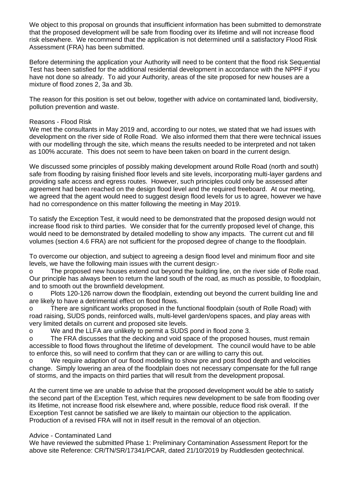We object to this proposal on grounds that insufficient information has been submitted to demonstrate that the proposed development will be safe from flooding over its lifetime and will not increase flood risk elsewhere. We recommend that the application is not determined until a satisfactory Flood Risk Assessment (FRA) has been submitted.

Before determining the application your Authority will need to be content that the flood risk Sequential Test has been satisfied for the additional residential development in accordance with the NPPF if you have not done so already. To aid your Authority, areas of the site proposed for new houses are a mixture of flood zones 2, 3a and 3b.

The reason for this position is set out below, together with advice on contaminated land, biodiversity, pollution prevention and waste.

### Reasons - Flood Risk

We met the consultants in May 2019 and, according to our notes, we stated that we had issues with development on the river side of Rolle Road. We also informed them that there were technical issues with our modelling through the site, which means the results needed to be interpreted and not taken as 100% accurate. This does not seem to have been taken on board in the current design.

We discussed some principles of possibly making development around Rolle Road (north and south) safe from flooding by raising finished floor levels and site levels, incorporating multi-layer gardens and providing safe access and egress routes. However, such principles could only be assessed after agreement had been reached on the design flood level and the required freeboard. At our meeting, we agreed that the agent would need to suggest design flood levels for us to agree, however we have had no correspondence on this matter following the meeting in May 2019.

To satisfy the Exception Test, it would need to be demonstrated that the proposed design would not increase flood risk to third parties. We consider that for the currently proposed level of change, this would need to be demonstrated by detailed modelling to show any impacts. The current cut and fill volumes (section 4.6 FRA) are not sufficient for the proposed degree of change to the floodplain.

To overcome our objection, and subject to agreeing a design flood level and minimum floor and site levels, we have the following main issues with the current design:-

o The proposed new houses extend out beyond the building line, on the river side of Rolle road. Our principle has always been to return the land south of the road, as much as possible, to floodplain, and to smooth out the brownfield development.

o Plots 120-126 narrow down the floodplain, extending out beyond the current building line and are likely to have a detrimental effect on flood flows.

o There are significant works proposed in the functional floodplain (south of Rolle Road) with road raising, SUDS ponds, reinforced walls, multi-level garden/opens spaces, and play areas with very limited details on current and proposed site levels.

o We and the LLFA are unlikely to permit a SUDS pond in flood zone 3.

o The FRA discusses that the decking and void space of the proposed houses, must remain accessible to flood flows throughout the lifetime of development. The council would have to be able to enforce this, so will need to confirm that they can or are willing to carry this out.

o We require adaption of our flood modelling to show pre and post flood depth and velocities change. Simply lowering an area of the floodplain does not necessary compensate for the full range of storms, and the impacts on third parties that will result from the development proposal.

At the current time we are unable to advise that the proposed development would be able to satisfy the second part of the Exception Test, which requires new development to be safe from flooding over its lifetime, not increase flood risk elsewhere and, where possible, reduce flood risk overall. If the Exception Test cannot be satisfied we are likely to maintain our objection to the application. Production of a revised FRA will not in itself result in the removal of an objection.

## Advice - Contaminated Land

We have reviewed the submitted Phase 1: Preliminary Contamination Assessment Report for the above site Reference: CR/TN/SR/17341/PCAR, dated 21/10/2019 by Ruddlesden geotechnical.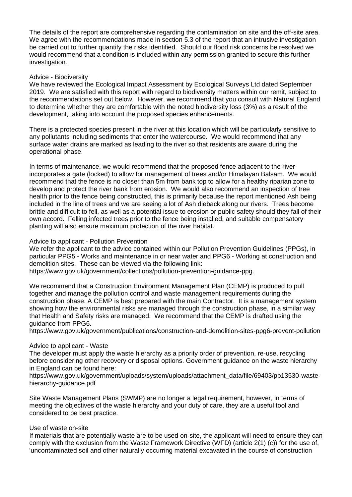The details of the report are comprehensive regarding the contamination on site and the off-site area. We agree with the recommendations made in section 5.3 of the report that an intrusive investigation be carried out to further quantify the risks identified. Should our flood risk concerns be resolved we would recommend that a condition is included within any permission granted to secure this further investigation.

### Advice - Biodiversity

We have reviewed the Ecological Impact Assessment by Ecological Surveys Ltd dated September 2019. We are satisfied with this report with regard to biodiversity matters within our remit, subject to the recommendations set out below. However, we recommend that you consult with Natural England to determine whether they are comfortable with the noted biodiversity loss (3%) as a result of the development, taking into account the proposed species enhancements.

There is a protected species present in the river at this location which will be particularly sensitive to any pollutants including sediments that enter the watercourse. We would recommend that any surface water drains are marked as leading to the river so that residents are aware during the operational phase.

In terms of maintenance, we would recommend that the proposed fence adjacent to the river incorporates a gate (locked) to allow for management of trees and/or Himalayan Balsam. We would recommend that the fence is no closer than 5m from bank top to allow for a healthy riparian zone to develop and protect the river bank from erosion. We would also recommend an inspection of tree health prior to the fence being constructed, this is primarily because the report mentioned Ash being included in the line of trees and we are seeing a lot of Ash dieback along our rivers. Trees become brittle and difficult to fell, as well as a potential issue to erosion or public safety should they fall of their own accord. Felling infected trees prior to the fence being installed, and suitable compensatory planting will also ensure maximum protection of the river habitat.

### Advice to applicant - Pollution Prevention

We refer the applicant to the advice contained within our Pollution Prevention Guidelines (PPGs), in particular PPG5 - Works and maintenance in or near water and PPG6 - Working at construction and demolition sites. These can be viewed via the following link:

https://www.gov.uk/government/collections/pollution-prevention-guidance-ppg.

We recommend that a Construction Environment Management Plan (CEMP) is produced to pull together and manage the pollution control and waste management requirements during the construction phase. A CEMP is best prepared with the main Contractor. It is a management system showing how the environmental risks are managed through the construction phase, in a similar way that Health and Safety risks are managed. We recommend that the CEMP is drafted using the guidance from PPG6.

https://www.gov.uk/government/publications/construction-and-demolition-sites-ppg6-prevent-pollution

## Advice to applicant - Waste

The developer must apply the waste hierarchy as a priority order of prevention, re-use, recycling before considering other recovery or disposal options. Government guidance on the waste hierarchy in England can be found here:

https://www.gov.uk/government/uploads/system/uploads/attachment\_data/file/69403/pb13530-wastehierarchy-guidance.pdf

Site Waste Management Plans (SWMP) are no longer a legal requirement, however, in terms of meeting the objectives of the waste hierarchy and your duty of care, they are a useful tool and considered to be best practice.

## Use of waste on-site

If materials that are potentially waste are to be used on-site, the applicant will need to ensure they can comply with the exclusion from the Waste Framework Directive (WFD) (article 2(1) (c)) for the use of, 'uncontaminated soil and other naturally occurring material excavated in the course of construction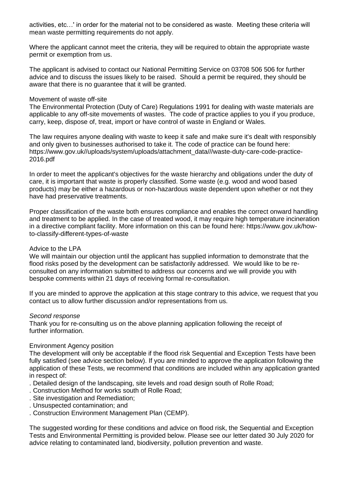activities, etc…' in order for the material not to be considered as waste. Meeting these criteria will mean waste permitting requirements do not apply.

Where the applicant cannot meet the criteria, they will be required to obtain the appropriate waste permit or exemption from us.

The applicant is advised to contact our National Permitting Service on 03708 506 506 for further advice and to discuss the issues likely to be raised. Should a permit be required, they should be aware that there is no guarantee that it will be granted.

#### Movement of waste off-site

The Environmental Protection (Duty of Care) Regulations 1991 for dealing with waste materials are applicable to any off-site movements of wastes. The code of practice applies to you if you produce, carry, keep, dispose of, treat, import or have control of waste in England or Wales.

The law requires anyone dealing with waste to keep it safe and make sure it's dealt with responsibly and only given to businesses authorised to take it. The code of practice can be found here: https://www.gov.uk//uploads/system/uploads/attachment\_data///waste-duty-care-code-practice-2016.pdf

In order to meet the applicant's objectives for the waste hierarchy and obligations under the duty of care, it is important that waste is properly classified. Some waste (e.g. wood and wood based products) may be either a hazardous or non-hazardous waste dependent upon whether or not they have had preservative treatments.

Proper classification of the waste both ensures compliance and enables the correct onward handling and treatment to be applied. In the case of treated wood, it may require high temperature incineration in a directive compliant facility. More information on this can be found here: https://www.gov.uk/howto-classify-different-types-of-waste

### Advice to the LPA

We will maintain our objection until the applicant has supplied information to demonstrate that the flood risks posed by the development can be satisfactorily addressed. We would like to be reconsulted on any information submitted to address our concerns and we will provide you with bespoke comments within 21 days of receiving formal re-consultation.

If you are minded to approve the application at this stage contrary to this advice, we request that you contact us to allow further discussion and/or representations from us.

#### *Second response*

Thank you for re-consulting us on the above planning application following the receipt of further information.

#### Environment Agency position

The development will only be acceptable if the flood risk Sequential and Exception Tests have been fully satisfied (see advice section below). If you are minded to approve the application following the application of these Tests, we recommend that conditions are included within any application granted in respect of:

- . Detailed design of the landscaping, site levels and road design south of Rolle Road;
- . Construction Method for works south of Rolle Road;
- . Site investigation and Remediation;
- . Unsuspected contamination; and
- . Construction Environment Management Plan (CEMP).

The suggested wording for these conditions and advice on flood risk, the Sequential and Exception Tests and Environmental Permitting is provided below. Please see our letter dated 30 July 2020 for advice relating to contaminated land, biodiversity, pollution prevention and waste.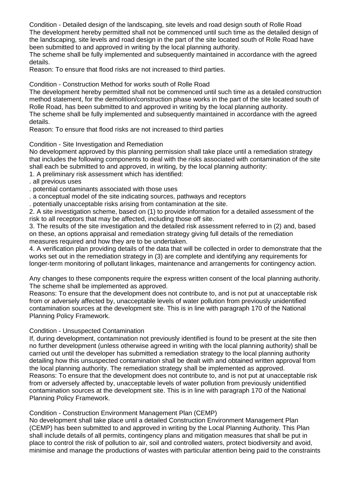Condition - Detailed design of the landscaping, site levels and road design south of Rolle Road The development hereby permitted shall not be commenced until such time as the detailed design of the landscaping, site levels and road design in the part of the site located south of Rolle Road have been submitted to and approved in writing by the local planning authority.

The scheme shall be fully implemented and subsequently maintained in accordance with the agreed details.

Reason: To ensure that flood risks are not increased to third parties.

Condition - Construction Method for works south of Rolle Road

The development hereby permitted shall not be commenced until such time as a detailed construction method statement, for the demolition/construction phase works in the part of the site located south of Rolle Road, has been submitted to and approved in writing by the local planning authority.

The scheme shall be fully implemented and subsequently maintained in accordance with the agreed details.

Reason: To ensure that flood risks are not increased to third parties

Condition - Site Investigation and Remediation

No development approved by this planning permission shall take place until a remediation strategy that includes the following components to deal with the risks associated with contamination of the site shall each be submitted to and approved, in writing, by the local planning authority:

- 1. A preliminary risk assessment which has identified:
- . all previous uses
- . potential contaminants associated with those uses
- . a conceptual model of the site indicating sources, pathways and receptors
- . potentially unacceptable risks arising from contamination at the site.

2. A site investigation scheme, based on (1) to provide information for a detailed assessment of the risk to all receptors that may be affected, including those off site.

3. The results of the site investigation and the detailed risk assessment referred to in (2) and, based on these, an options appraisal and remediation strategy giving full details of the remediation measures required and how they are to be undertaken.

4. A verification plan providing details of the data that will be collected in order to demonstrate that the works set out in the remediation strategy in (3) are complete and identifying any requirements for longer-term monitoring of pollutant linkages, maintenance and arrangements for contingency action.

Any changes to these components require the express written consent of the local planning authority. The scheme shall be implemented as approved.

Reasons: To ensure that the development does not contribute to, and is not put at unacceptable risk from or adversely affected by, unacceptable levels of water pollution from previously unidentified contamination sources at the development site. This is in line with paragraph 170 of the National Planning Policy Framework.

#### Condition - Unsuspected Contamination

If, during development, contamination not previously identified is found to be present at the site then no further development (unless otherwise agreed in writing with the local planning authority) shall be carried out until the developer has submitted a remediation strategy to the local planning authority detailing how this unsuspected contamination shall be dealt with and obtained written approval from the local planning authority. The remediation strategy shall be implemented as approved. Reasons: To ensure that the development does not contribute to, and is not put at unacceptable risk from or adversely affected by, unacceptable levels of water pollution from previously unidentified contamination sources at the development site. This is in line with paragraph 170 of the National Planning Policy Framework.

Condition - Construction Environment Management Plan (CEMP)

No development shall take place until a detailed Construction Environment Management Plan (CEMP) has been submitted to and approved in writing by the Local Planning Authority. This Plan shall include details of all permits, contingency plans and mitigation measures that shall be put in place to control the risk of pollution to air, soil and controlled waters, protect biodiversity and avoid, minimise and manage the productions of wastes with particular attention being paid to the constraints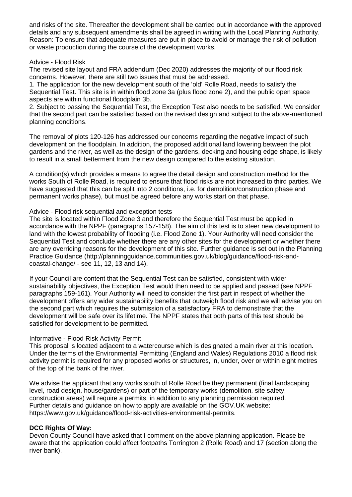and risks of the site. Thereafter the development shall be carried out in accordance with the approved details and any subsequent amendments shall be agreed in writing with the Local Planning Authority. Reason: To ensure that adequate measures are put in place to avoid or manage the risk of pollution or waste production during the course of the development works.

## Advice - Flood Risk

The revised site layout and FRA addendum (Dec 2020) addresses the majority of our flood risk concerns. However, there are still two issues that must be addressed.

1. The application for the new development south of the 'old' Rolle Road, needs to satisfy the Sequential Test. This site is in within flood zone 3a (plus flood zone 2), and the public open space aspects are within functional floodplain 3b.

2. Subject to passing the Sequential Test, the Exception Test also needs to be satisfied. We consider that the second part can be satisfied based on the revised design and subject to the above-mentioned planning conditions.

The removal of plots 120-126 has addressed our concerns regarding the negative impact of such development on the floodplain. In addition, the proposed additional land lowering between the plot gardens and the river, as well as the design of the gardens, decking and housing edge shape, is likely to result in a small betterment from the new design compared to the existing situation.

A condition(s) which provides a means to agree the detail design and construction method for the works South of Rolle Road, is required to ensure that flood risks are not increased to third parties. We have suggested that this can be split into 2 conditions, i.e. for demolition/construction phase and permanent works phase), but must be agreed before any works start on that phase.

# Advice - Flood risk sequential and exception tests

The site is located within Flood Zone 3 and therefore the Sequential Test must be applied in accordance with the NPPF (paragraphs 157-158). The aim of this test is to steer new development to land with the lowest probability of flooding (i.e. Flood Zone 1). Your Authority will need consider the Sequential Test and conclude whether there are any other sites for the development or whether there are any overriding reasons for the development of this site. Further guidance is set out in the Planning Practice Guidance (http://planningguidance.communities.gov.uk/blog/guidance/flood-risk-andcoastal-change/ - see 11, 12, 13 and 14).

If your Council are content that the Sequential Test can be satisfied, consistent with wider sustainability objectives, the Exception Test would then need to be applied and passed (see NPPF paragraphs 159-161). Your Authority will need to consider the first part in respect of whether the development offers any wider sustainability benefits that outweigh flood risk and we will advise you on the second part which requires the submission of a satisfactory FRA to demonstrate that the development will be safe over its lifetime. The NPPF states that both parts of this test should be satisfied for development to be permitted.

## Informative - Flood Risk Activity Permit

This proposal is located adjacent to a watercourse which is designated a main river at this location. Under the terms of the Environmental Permitting (England and Wales) Regulations 2010 a flood risk activity permit is required for any proposed works or structures, in, under, over or within eight metres of the top of the bank of the river.

We advise the applicant that any works south of Rolle Road be they permanent (final landscaping level, road design, house/gardens) or part of the temporary works (demolition, site safety, construction areas) will require a permits, in addition to any planning permission required. Further details and guidance on how to apply are available on the GOV.UK website: https://www.gov.uk/guidance/flood-risk-activities-environmental-permits.

# **DCC Rights Of Way:**

Devon County Council have asked that I comment on the above planning application. Please be aware that the application could affect footpaths Torrington 2 (Rolle Road) and 17 (section along the river bank).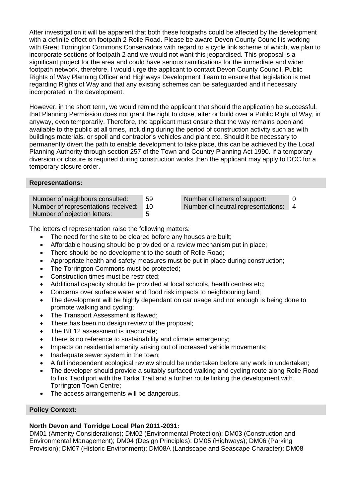After investigation it will be apparent that both these footpaths could be affected by the development with a definite effect on footpath 2 Rolle Road. Please be aware Devon County Council is working with Great Torrington Commons Conservators with regard to a cycle link scheme of which, we plan to incorporate sections of footpath 2 and we would not want this jeopardised. This proposal is a significant project for the area and could have serious ramifications for the immediate and wider footpath network, therefore, I would urge the applicant to contact Devon County Council, Public Rights of Way Planning Officer and Highways Development Team to ensure that legislation is met regarding Rights of Way and that any existing schemes can be safeguarded and if necessary incorporated in the development.

However, in the short term, we would remind the applicant that should the application be successful, that Planning Permission does not grant the right to close, alter or build over a Public Right of Way, in anyway, even temporarily. Therefore, the applicant must ensure that the way remains open and available to the public at all times, including during the period of construction activity such as with buildings materials, or spoil and contractor's vehicles and plant etc. Should it be necessary to permanently divert the path to enable development to take place, this can be achieved by the Local Planning Authority through section 257 of the Town and Country Planning Act 1990. If a temporary diversion or closure is required during construction works then the applicant may apply to DCC for a temporary closure order.

### **Representations:**

| Number of neighbours consulted:     | 59             |
|-------------------------------------|----------------|
| Number of representations received: | 1 <sup>C</sup> |
| Number of objection letters:        | 5.             |

a Number of letters of support: 0 D **Number of neutral representations: 4** 

The letters of representation raise the following matters:

- The need for the site to be cleared before any houses are built:
- Affordable housing should be provided or a review mechanism put in place;
- There should be no development to the south of Rolle Road;
- Appropriate health and safety measures must be put in place during construction;
- The Torrington Commons must be protected:
- Construction times must be restricted;
- Additional capacity should be provided at local schools, health centres etc;
- Concerns over surface water and flood risk impacts to neighbouring land;
- The development will be highly dependant on car usage and not enough is being done to promote walking and cycling;
- The Transport Assessment is flawed;
- There has been no design review of the proposal;
- The BfL12 assessment is inaccurate;
- There is no reference to sustainability and climate emergency;
- Impacts on residential amenity arising out of increased vehicle movements;
- Inadequate sewer system in the town;
- A full independent ecological review should be undertaken before any work in undertaken;
- The developer should provide a suitably surfaced walking and cycling route along Rolle Road to link Taddiport with the Tarka Trail and a further route linking the development with Torrington Town Centre;
- The access arrangements will be dangerous.

# **Policy Context:**

## **North Devon and Torridge Local Plan 2011-2031:**

DM01 (Amenity Considerations); DM02 (Environmental Protection); DM03 (Construction and Environmental Management); DM04 (Design Principles); DM05 (Highways); DM06 (Parking Provision); DM07 (Historic Environment); DM08A (Landscape and Seascape Character); DM08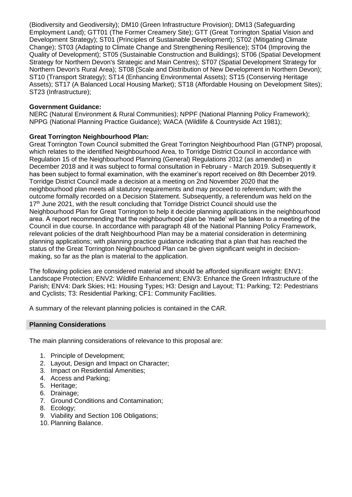(Biodiversity and Geodiversity); DM10 (Green Infrastructure Provision); DM13 (Safeguarding Employment Land); GTT01 (The Former Creamery Site); GTT (Great Torrington Spatial Vision and Development Strategy); ST01 (Principles of Sustainable Development); ST02 (Mitigating Climate Change); ST03 (Adapting to Climate Change and Strengthening Resilience); ST04 (Improving the Quality of Development); ST05 (Sustainable Construction and Buildings); ST06 (Spatial Development Strategy for Northern Devon's Strategic and Main Centres); ST07 (Spatial Development Strategy for Northern Devon's Rural Area); ST08 (Scale and Distribution of New Development in Northern Devon); ST10 (Transport Strategy); ST14 (Enhancing Environmental Assets); ST15 (Conserving Heritage Assets); ST17 (A Balanced Local Housing Market); ST18 (Affordable Housing on Development Sites); ST23 (Infrastructure);

# **Government Guidance:**

NERC (Natural Environment & Rural Communities); NPPF (National Planning Policy Framework); NPPG (National Planning Practice Guidance); WACA (Wildlife & Countryside Act 1981);

# **Great Torrington Neighbourhood Plan:**

Great Torrington Town Council submitted the Great Torrington Neighbourhood Plan (GTNP) proposal, which relates to the identified Neighbourhood Area, to Torridge District Council in accordance with Regulation 15 of the Neighbourhood Planning (General) Regulations 2012 (as amended) in December 2018 and it was subject to formal consultation in February - March 2019. Subsequently it has been subject to formal examination, with the examiner's report received on 8th December 2019. Torridge District Council made a decision at a meeting on 2nd November 2020 that the neighbourhood plan meets all statutory requirements and may proceed to referendum; with the outcome formally recorded on a Decision Statement. Subsequently, a referendum was held on the 17<sup>th</sup> June 2021, with the result concluding that Torridge District Council should use the Neighbourhood Plan for Great Torrington to help it decide planning applications in the neighbourhood area. A report recommending that the neighbourhood plan be 'made' will be taken to a meeting of the Council in due course. In accordance with paragraph 48 of the National Planning Policy Framework, relevant policies of the draft Neighbourhood Plan may be a material consideration in determining planning applications; with planning practice guidance indicating that a plan that has reached the status of the Great Torrington Neighbourhood Plan can be given significant weight in decisionmaking, so far as the plan is material to the application.

The following policies are considered material and should be afforded significant weight: ENV1: Landscape Protection; ENV2: Wildlife Enhancement; ENV3: Enhance the Green Infrastructure of the Parish; ENV4: Dark Skies; H1: Housing Types; H3: Design and Layout; T1: Parking; T2: Pedestrians and Cyclists; T3: Residential Parking; CF1: Community Facilities.

A summary of the relevant planning policies is contained in the CAR.

## **Planning Considerations**

The main planning considerations of relevance to this proposal are:

- 1. Principle of Development;
- 2. Layout, Design and Impact on Character;
- 3. Impact on Residential Amenities;
- 4. Access and Parking;
- 5. Heritage;
- 6. Drainage;
- 7. Ground Conditions and Contamination;
- 8. Ecology;
- 9. Viability and Section 106 Obligations;
- 10. Planning Balance.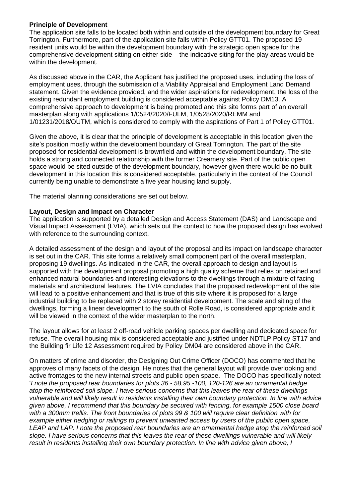## **Principle of Development**

The application site falls to be located both within and outside of the development boundary for Great Torrington. Furthermore, part of the application site falls within Policy GTT01. The proposed 19 resident units would be within the development boundary with the strategic open space for the comprehensive development sitting on either side – the indicative siting for the play areas would be within the development.

As discussed above in the CAR, the Applicant has justified the proposed uses, including the loss of employment uses, through the submission of a Viability Appraisal and Employment Land Demand statement. Given the evidence provided, and the wider aspirations for redevelopment, the loss of the existing redundant employment building is considered acceptable against Policy DM13. A comprehensive approach to development is being promoted and this site forms part of an overall masterplan along with applications 1/0524/2020/FULM, 1/0528/2020/REMM and 1/01231/2018/OUTM, which is considered to comply with the aspirations of Part 1 of Policy GTT01.

Given the above, it is clear that the principle of development is acceptable in this location given the site's position mostly within the development boundary of Great Torrington. The part of the site proposed for residential development is brownfield and within the development boundary. The site holds a strong and connected relationship with the former Creamery site. Part of the public open space would be sited outside of the development boundary, however given there would be no built development in this location this is considered acceptable, particularly in the context of the Council currently being unable to demonstrate a five year housing land supply.

The material planning considerations are set out below.

# **Layout, Design and Impact on Character**

The application is supported by a detailed Design and Access Statement (DAS) and Landscape and Visual Impact Assessment (LVIA), which sets out the context to how the proposed design has evolved with reference to the surrounding context.

A detailed assessment of the design and layout of the proposal and its impact on landscape character is set out in the CAR. This site forms a relatively small component part of the overall masterplan, proposing 19 dwellings. As indicated in the CAR, the overall approach to design and layout is supported with the development proposal promoting a high quality scheme that relies on retained and enhanced natural boundaries and interesting elevations to the dwellings through a mixture of facing materials and architectural features. The LVIA concludes that the proposed redevelopment of the site will lead to a positive enhancement and that is true of this site where it is proposed for a large industrial building to be replaced with 2 storey residential development. The scale and siting of the dwellings, forming a linear development to the south of Rolle Road, is considered appropriate and it will be viewed in the context of the wider masterplan to the north.

The layout allows for at least 2 off-road vehicle parking spaces per dwelling and dedicated space for refuse. The overall housing mix is considered acceptable and justified under NDTLP Policy ST17 and the Building fir Life 12 Assessment required by Policy DM04 are considered above in the CAR.

On matters of crime and disorder, the Designing Out Crime Officer (DOCO) has commented that he approves of many facets of the design. He notes that the general layout will provide overlooking and active frontages to the new internal streets and public open space. The DOCO has specifically noted: '*I note the proposed rear boundaries for plots 36 - 58,95 -100, 120-126 are an ornamental hedge atop the reinforced soil slope. I have serious concerns that this leaves the rear of these dwellings vulnerable and will likely result in residents installing their own boundary protection. In line with advice given above, I recommend that this boundary be secured with fencing, for example 1500 close board with a 300mm trellis. The front boundaries of plots 99 & 100 will require clear definition with for example either hedging or railings to prevent unwanted access by users of the public open space, LEAP and LAP. I note the proposed rear boundaries are an ornamental hedge atop the reinforced soil slope. I have serious concerns that this leaves the rear of these dwellings vulnerable and will likely result in residents installing their own boundary protection. In line with advice given above, I*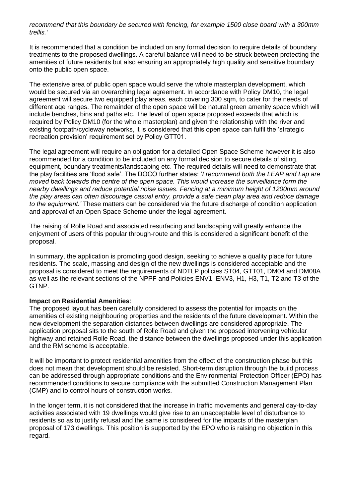*recommend that this boundary be secured with fencing, for example 1500 close board with a 300mm trellis.'*

It is recommended that a condition be included on any formal decision to require details of boundary treatments to the proposed dwellings. A careful balance will need to be struck between protecting the amenities of future residents but also ensuring an appropriately high quality and sensitive boundary onto the public open space.

The extensive area of public open space would serve the whole masterplan development, which would be secured via an overarching legal agreement. In accordance with Policy DM10, the legal agreement will secure two equipped play areas, each covering 300 sqm, to cater for the needs of different age ranges. The remainder of the open space will be natural green amenity space which will include benches, bins and paths etc. The level of open space proposed exceeds that which is required by Policy DM10 (for the whole masterplan) and given the relationship with the river and existing footpath/cycleway networks, it is considered that this open space can fulfil the 'strategic recreation provision' requirement set by Policy GTT01.

The legal agreement will require an obligation for a detailed Open Space Scheme however it is also recommended for a condition to be included on any formal decision to secure details of siting, equipment, boundary treatments/landscaping etc. The required details will need to demonstrate that the play facilities are 'flood safe'. The DOCO further states: '*I recommend both the LEAP and Lap are moved back towards the centre of the open space. This would increase the surveillance form the nearby dwellings and reduce potential noise issues. Fencing at a minimum height of 1200mm around the play areas can often discourage casual entry, provide a safe clean play area and reduce damage to the equipment.'* These matters can be considered via the future discharge of condition application and approval of an Open Space Scheme under the legal agreement.

The raising of Rolle Road and associated resurfacing and landscaping will greatly enhance the enjoyment of users of this popular through-route and this is considered a significant benefit of the proposal.

In summary, the application is promoting good design, seeking to achieve a quality place for future residents. The scale, massing and design of the new dwellings is considered acceptable and the proposal is considered to meet the requirements of NDTLP policies ST04, GTT01, DM04 and DM08A as well as the relevant sections of the NPPF and Policies ENV1, ENV3, H1, H3, T1, T2 and T3 of the GTNP.

#### **Impact on Residential Amenities**:

The proposed layout has been carefully considered to assess the potential for impacts on the amenities of existing neighbouring properties and the residents of the future development. Within the new development the separation distances between dwellings are considered appropriate. The application proposal sits to the south of Rolle Road and given the proposed intervening vehicular highway and retained Rolle Road, the distance between the dwellings proposed under this application and the RM scheme is acceptable.

It will be important to protect residential amenities from the effect of the construction phase but this does not mean that development should be resisted. Short-term disruption through the build process can be addressed through appropriate conditions and the Environmental Protection Officer (EPO) has recommended conditions to secure compliance with the submitted Construction Management Plan (CMP) and to control hours of construction works.

In the longer term, it is not considered that the increase in traffic movements and general day-to-day activities associated with 19 dwellings would give rise to an unacceptable level of disturbance to residents so as to justify refusal and the same is considered for the impacts of the masterplan proposal of 173 dwellings. This position is supported by the EPO who is raising no objection in this regard.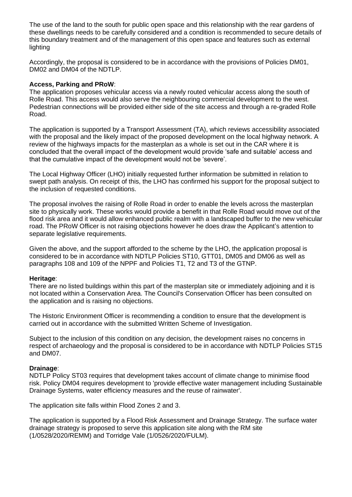The use of the land to the south for public open space and this relationship with the rear gardens of these dwellings needs to be carefully considered and a condition is recommended to secure details of this boundary treatment and of the management of this open space and features such as external lighting

Accordingly, the proposal is considered to be in accordance with the provisions of Policies DM01, DM02 and DM04 of the NDTLP.

### **Access, Parking and PRoW**:

The application proposes vehicular access via a newly routed vehicular access along the south of Rolle Road. This access would also serve the neighbouring commercial development to the west. Pedestrian connections will be provided either side of the site access and through a re-graded Rolle Road.

The application is supported by a Transport Assessment (TA), which reviews accessibility associated with the proposal and the likely impact of the proposed development on the local highway network. A review of the highways impacts for the masterplan as a whole is set out in the CAR where it is concluded that the overall impact of the development would provide 'safe and suitable' access and that the cumulative impact of the development would not be 'severe'.

The Local Highway Officer (LHO) initially requested further information be submitted in relation to swept path analysis. On receipt of this, the LHO has confirmed his support for the proposal subject to the inclusion of requested conditions.

The proposal involves the raising of Rolle Road in order to enable the levels across the masterplan site to physically work. These works would provide a benefit in that Rolle Road would move out of the flood risk area and it would allow enhanced public realm with a landscaped buffer to the new vehicular road. The PRoW Officer is not raising objections however he does draw the Applicant's attention to separate legislative requirements.

Given the above, and the support afforded to the scheme by the LHO, the application proposal is considered to be in accordance with NDTLP Policies ST10, GTT01, DM05 and DM06 as well as paragraphs 108 and 109 of the NPPF and Policies T1, T2 and T3 of the GTNP.

#### **Heritage**:

There are no listed buildings within this part of the masterplan site or immediately adjoining and it is not located within a Conservation Area. The Council's Conservation Officer has been consulted on the application and is raising no objections.

The Historic Environment Officer is recommending a condition to ensure that the development is carried out in accordance with the submitted Written Scheme of Investigation.

Subject to the inclusion of this condition on any decision, the development raises no concerns in respect of archaeology and the proposal is considered to be in accordance with NDTLP Policies ST15 and DM07.

#### **Drainage**:

NDTLP Policy ST03 requires that development takes account of climate change to minimise flood risk. Policy DM04 requires development to 'provide effective water management including Sustainable Drainage Systems, water efficiency measures and the reuse of rainwater'.

The application site falls within Flood Zones 2 and 3.

The application is supported by a Flood Risk Assessment and Drainage Strategy. The surface water drainage strategy is proposed to serve this application site along with the RM site (1/0528/2020/REMM) and Torridge Vale (1/0526/2020/FULM).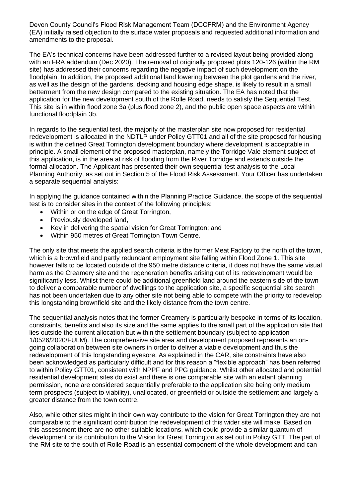Devon County Council's Flood Risk Management Team (DCCFRM) and the Environment Agency (EA) initially raised objection to the surface water proposals and requested additional information and amendments to the proposal.

The EA's technical concerns have been addressed further to a revised layout being provided along with an FRA addendum (Dec 2020). The removal of originally proposed plots 120-126 (within the RM site) has addressed their concerns regarding the negative impact of such development on the floodplain. In addition, the proposed additional land lowering between the plot gardens and the river, as well as the design of the gardens, decking and housing edge shape, is likely to result in a small betterment from the new design compared to the existing situation. The EA has noted that the application for the new development south of the Rolle Road, needs to satisfy the Sequential Test. This site is in within flood zone 3a (plus flood zone 2), and the public open space aspects are within functional floodplain 3b.

In regards to the sequential test, the majority of the masterplan site now proposed for residential redevelopment is allocated in the NDTLP under Policy GTT01 and all of the site proposed for housing is within the defined Great Torrington development boundary where development is acceptable in principle. A small element of the proposed masterplan, namely the Torridge Vale element subject of this application, is in the area at risk of flooding from the River Torridge and extends outside the formal allocation. The Applicant has presented their own sequential test analysis to the Local Planning Authority, as set out in Section 5 of the Flood Risk Assessment. Your Officer has undertaken a separate sequential analysis:

In applying the guidance contained within the Planning Practice Guidance, the scope of the sequential test is to consider sites in the context of the following principles:

- Within or on the edge of Great Torrington,
- Previously developed land,
- Key in delivering the spatial vision for Great Torrington; and
- Within 950 metres of Great Torrington Town Centre.

The only site that meets the applied search criteria is the former Meat Factory to the north of the town, which is a brownfield and partly redundant employment site falling within Flood Zone 1. This site however falls to be located outside of the 950 metre distance criteria, it does not have the same visual harm as the Creamery site and the regeneration benefits arising out of its redevelopment would be significantly less. Whilst there could be additional greenfield land around the eastern side of the town to deliver a comparable number of dwellings to the application site, a specific sequential site search has not been undertaken due to any other site not being able to compete with the priority to redevelop this longstanding brownfield site and the likely distance from the town centre.

The sequential analysis notes that the former Creamery is particularly bespoke in terms of its location, constraints, benefits and also its size and the same applies to the small part of the application site that lies outside the current allocation but within the settlement boundary (subject to application 1/0526/2020/FULM). The comprehensive site area and development proposed represents an ongoing collaboration between site owners in order to deliver a viable development and thus the redevelopment of this longstanding eyesore. As explained in the CAR, site constraints have also been acknowledged as particularly difficult and for this reason a "flexible approach" has been referred to within Policy GTT01, consistent with NPPF and PPG guidance. Whilst other allocated and potential residential development sites do exist and there is one comparable site with an extant planning permission, none are considered sequentially preferable to the application site being only medium term prospects (subject to viability), unallocated, or greenfield or outside the settlement and largely a greater distance from the town centre.

Also, while other sites might in their own way contribute to the vision for Great Torrington they are not comparable to the significant contribution the redevelopment of this wider site will make. Based on this assessment there are no other suitable locations, which could provide a similar quantum of development or its contribution to the Vision for Great Torrington as set out in Policy GTT. The part of the RM site to the south of Rolle Road is an essential component of the whole development and can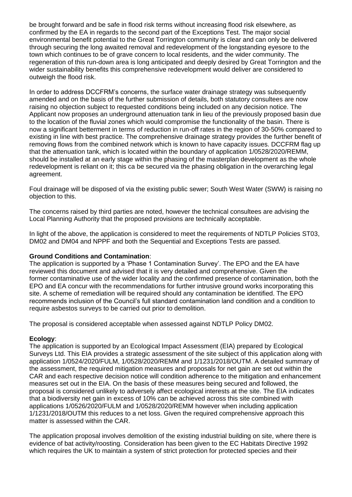be brought forward and be safe in flood risk terms without increasing flood risk elsewhere, as confirmed by the EA in regards to the second part of the Exceptions Test. The major social environmental benefit potential to the Great Torrington community is clear and can only be delivered through securing the long awaited removal and redevelopment of the longstanding eyesore to the town which continues to be of grave concern to local residents, and the wider community. The regeneration of this run-down area is long anticipated and deeply desired by Great Torrington and the wider sustainability benefits this comprehensive redevelopment would deliver are considered to outweigh the flood risk.

In order to address DCCFRM's concerns, the surface water drainage strategy was subsequently amended and on the basis of the further submission of details, both statutory consultees are now raising no objection subject to requested conditions being included on any decision notice. The Applicant now proposes an underground attenuation tank in lieu of the previously proposed basin due to the location of the fluvial zones which would compromise the functionality of the basin. There is now a significant betterment in terms of reduction in run-off rates in the region of 30-50% compared to existing in line with best practice. The comprehensive drainage strategy provides the further benefit of removing flows from the combined network which is known to have capacity issues. DCCFRM flag up that the attenuation tank, which is located within the boundary of application 1/0528/2020/REMM, should be installed at an early stage within the phasing of the masterplan development as the whole redevelopment is reliant on it; this ca be secured via the phasing obligation in the overarching legal agreement.

Foul drainage will be disposed of via the existing public sewer; South West Water (SWW) is raising no objection to this.

The concerns raised by third parties are noted, however the technical consultees are advising the Local Planning Authority that the proposed provisions are technically acceptable.

In light of the above, the application is considered to meet the requirements of NDTLP Policies ST03, DM02 and DM04 and NPPF and both the Sequential and Exceptions Tests are passed.

## **Ground Conditions and Contamination**:

The application is supported by a 'Phase 1 Contamination Survey'. The EPO and the EA have reviewed this document and advised that it is very detailed and comprehensive. Given the former contaminative use of the wider locality and the confirmed presence of contamination, both the EPO and EA concur with the recommendations for further intrusive ground works incorporating this site. A scheme of remediation will be required should any contamination be identified. The EPO recommends inclusion of the Council's full standard contamination land condition and a condition to require asbestos surveys to be carried out prior to demolition.

The proposal is considered acceptable when assessed against NDTLP Policy DM02.

#### **Ecology**:

The application is supported by an Ecological Impact Assessment (EIA) prepared by Ecological Surveys Ltd. This EIA provides a strategic assessment of the site subject of this application along with application 1/0524/2020/FULM, 1/0528/2020/REMM and 1/1231/2018/OUTM. A detailed summary of the assessment, the required mitigation measures and proposals for net gain are set out within the CAR and each respective decision notice will condition adherence to the mitigation and enhancement measures set out in the EIA. On the basis of these measures being secured and followed, the proposal is considered unlikely to adversely affect ecological interests at the site. The EIA indicates that a biodiversity net gain in excess of 10% can be achieved across this site combined with applications 1/0526/2020/FULM and 1/0528/2020/REMM however when including application 1/1231/2018/OUTM this reduces to a net loss. Given the required comprehensive approach this matter is assessed within the CAR.

The application proposal involves demolition of the existing industrial building on site, where there is evidence of bat activity/roosting. Consideration has been given to the EC Habitats Directive 1992 which requires the UK to maintain a system of strict protection for protected species and their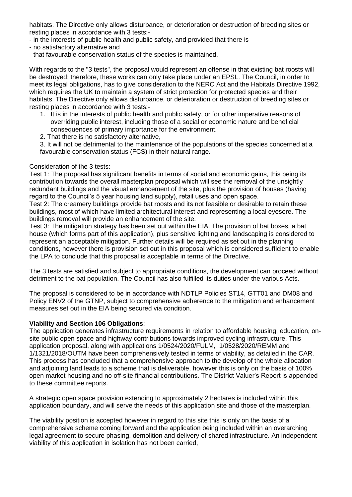habitats. The Directive only allows disturbance, or deterioration or destruction of breeding sites or resting places in accordance with 3 tests:-

- in the interests of public health and public safety, and provided that there is

- no satisfactory alternative and

- that favourable conservation status of the species is maintained.

With regards to the "3 tests", the proposal would represent an offense in that existing bat roosts will be destroyed; therefore, these works can only take place under an EPSL. The Council, in order to meet its legal obligations, has to give consideration to the NERC Act and the Habitats Directive 1992, which requires the UK to maintain a system of strict protection for protected species and their habitats. The Directive only allows disturbance, or deterioration or destruction of breeding sites or resting places in accordance with 3 tests:-

- 1. It is in the interests of public health and public safety, or for other imperative reasons of overriding public interest, including those of a social or economic nature and beneficial consequences of primary importance for the environment.
- 2. That there is no satisfactory alternative,

3. It will not be detrimental to the maintenance of the populations of the species concerned at a favourable conservation status (FCS) in their natural range.

### Consideration of the 3 tests:

Test 1: The proposal has significant benefits in terms of social and economic gains, this being its contribution towards the overall masterplan proposal which will see the removal of the unsightly redundant buildings and the visual enhancement of the site, plus the provision of houses (having regard to the Council's 5 year housing land supply), retail uses and open space.

Test 2: The creamery buildings provide bat roosts and its not feasible or desirable to retain these buildings, most of which have limited architectural interest and representing a local eyesore. The buildings removal will provide an enhancement of the site.

Test 3: The mitigation strategy has been set out within the EIA. The provision of bat boxes, a bat house (which forms part of this application), plus sensitive lighting and landscaping is considered to represent an acceptable mitigation. Further details will be required as set out in the planning conditions, however there is provision set out in this proposal which is considered sufficient to enable the LPA to conclude that this proposal is acceptable in terms of the Directive.

The 3 tests are satisfied and subject to appropriate conditions, the development can proceed without detriment to the bat population. The Council has also fulfilled its duties under the various Acts.

The proposal is considered to be in accordance with NDTLP Policies ST14, GTT01 and DM08 and Policy ENV2 of the GTNP, subject to comprehensive adherence to the mitigation and enhancement measures set out in the EIA being secured via condition.

## **Viability and Section 106 Obligations**:

The application generates infrastructure requirements in relation to affordable housing, education, onsite public open space and highway contributions towards improved cycling infrastructure. This application proposal, along with applications 1/0524/2020/FULM, 1/0528/2020/REMM and 1/1321/2018/OUTM have been comprehensively tested in terms of viability, as detailed in the CAR. This process has concluded that a comprehensive approach to the develop of the whole allocation and adjoining land leads to a scheme that is deliverable, however this is only on the basis of 100% open market housing and no off-site financial contributions. The District Valuer's Report is appended to these committee reports.

A strategic open space provision extending to approximately 2 hectares is included within this application boundary, and will serve the needs of this application site and those of the masterplan.

The viability position is accepted however in regard to this site this is only on the basis of a comprehensive scheme coming forward and the application being included within an overarching legal agreement to secure phasing, demolition and delivery of shared infrastructure. An independent viability of this application in isolation has not been carried,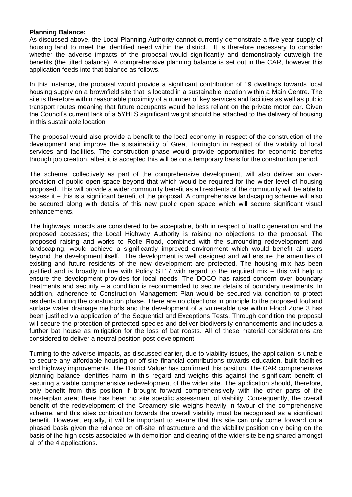### **Planning Balance:**

As discussed above, the Local Planning Authority cannot currently demonstrate a five year supply of housing land to meet the identified need within the district. It is therefore necessary to consider whether the adverse impacts of the proposal would significantly and demonstrably outweigh the benefits (the tilted balance). A comprehensive planning balance is set out in the CAR, however this application feeds into that balance as follows.

In this instance, the proposal would provide a significant contribution of 19 dwellings towards local housing supply on a brownfield site that is located in a sustainable location within a Main Centre. The site is therefore within reasonable proximity of a number of key services and facilities as well as public transport routes meaning that future occupants would be less reliant on the private motor car. Given the Council's current lack of a 5YHLS significant weight should be attached to the delivery of housing in this sustainable location.

The proposal would also provide a benefit to the local economy in respect of the construction of the development and improve the sustainability of Great Torrington in respect of the viability of local services and facilities. The construction phase would provide opportunities for economic benefits through job creation, albeit it is accepted this will be on a temporary basis for the construction period.

The scheme, collectively as part of the comprehensive development, will also deliver an overprovision of public open space beyond that which would be required for the wider level of housing proposed. This will provide a wider community benefit as all residents of the community will be able to access it – this is a significant benefit of the proposal. A comprehensive landscaping scheme will also be secured along with details of this new public open space which will secure significant visual enhancements.

The highways impacts are considered to be acceptable, both in respect of traffic generation and the proposed accesses; the Local Highway Authority is raising no objections to the proposal. The proposed raising and works to Rolle Road, combined with the surrounding redevelopment and landscaping, would achieve a significantly improved environment which would benefit all users beyond the development itself. The development is well designed and will ensure the amenities of existing and future residents of the new development are protected. The housing mix has been justified and is broadly in line with Policy ST17 with regard to the required mix – this will help to ensure the development provides for local needs. The DOCO has raised concern over boundary treatments and security – a condition is recommended to secure details of boundary treatments. In addition, adherence to Construction Management Plan would be secured via condition to protect residents during the construction phase. There are no objections in principle to the proposed foul and surface water drainage methods and the development of a vulnerable use within Flood Zone 3 has been justified via application of the Sequential and Exceptions Tests. Through condition the proposal will secure the protection of protected species and deliver biodiversity enhancements and includes a further bat house as mitigation for the loss of bat roosts. All of these material considerations are considered to deliver a neutral position post-development.

Turning to the adverse impacts, as discussed earlier, due to viability issues, the application is unable to secure any affordable housing or off-site financial contributions towards education, built facilities and highway improvements. The District Valuer has confirmed this position. The CAR comprehensive planning balance identifies harm in this regard and weighs this against the significant benefit of securing a viable comprehensive redevelopment of the wider site. The application should, therefore, only benefit from this position if brought forward comprehensively with the other parts of the masterplan area; there has been no site specific assessment of viability. Consequently, the overall benefit of the redevelopment of the Creamery site weighs heavily in favour of the comprehensive scheme, and this sites contribution towards the overall viability must be recognised as a significant benefit. However, equally, it will be important to ensure that this site can only come forward on a phased basis given the reliance on off-site infrastructure and the viability position only being on the basis of the high costs associated with demolition and clearing of the wider site being shared amongst all of the 4 applications.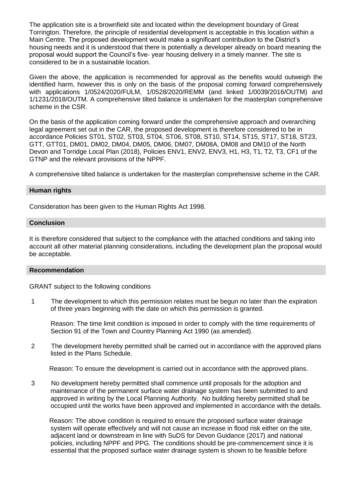The application site is a brownfield site and located within the development boundary of Great Torrington. Therefore, the principle of residential development is acceptable in this location within a Main Centre. The proposed development would make a significant contribution to the District's housing needs and it is understood that there is potentially a developer already on board meaning the proposal would support the Council's five- year housing delivery in a timely manner. The site is considered to be in a sustainable location.

Given the above, the application is recommended for approval as the benefits would outweigh the identified harm, however this is only on the basis of the proposal coming forward comprehensively with applications 1/0524/2020/FULM, 1/0528/2020/REMM (and linked 1/0039/2016/OUTM) and 1/1231/2018/OUTM. A comprehensive tilted balance is undertaken for the masterplan comprehensive scheme in the CSR.

On the basis of the application coming forward under the comprehensive approach and overarching legal agreement set out in the CAR, the proposed development is therefore considered to be in accordance Policies ST01, ST02, ST03, ST04, ST06, ST08, ST10, ST14, ST15, ST17, ST18, ST23, GTT, GTT01, DM01, DM02, DM04, DM05, DM06, DM07, DM08A, DM08 and DM10 of the North Devon and Torridge Local Plan (2018), Policies ENV1, ENV2, ENV3, H1, H3, T1, T2, T3, CF1 of the GTNP and the relevant provisions of the NPPF.

A comprehensive tilted balance is undertaken for the masterplan comprehensive scheme in the CAR.

### **Human rights**

Consideration has been given to the Human Rights Act 1998.

#### **Conclusion**

It is therefore considered that subject to the compliance with the attached conditions and taking into account all other material planning considerations, including the development plan the proposal would be acceptable.

#### **Recommendation**

GRANT subject to the following conditions

1 The development to which this permission relates must be begun no later than the expiration of three years beginning with the date on which this permission is granted.

Reason: The time limit condition is imposed in order to comply with the time requirements of Section 91 of the Town and Country Planning Act 1990 (as amended).

2 The development hereby permitted shall be carried out in accordance with the approved plans listed in the Plans Schedule.

Reason: To ensure the development is carried out in accordance with the approved plans.

3 No development hereby permitted shall commence until proposals for the adoption and maintenance of the permanent surface water drainage system has been submitted to and approved in writing by the Local Planning Authority. No building hereby permitted shall be occupied until the works have been approved and implemented in accordance with the details.

 Reason: The above condition is required to ensure the proposed surface water drainage system will operate effectively and will not cause an increase in flood risk either on the site, adjacent land or downstream in line with SuDS for Devon Guidance (2017) and national policies, including NPPF and PPG. The conditions should be pre-commencement since it is essential that the proposed surface water drainage system is shown to be feasible before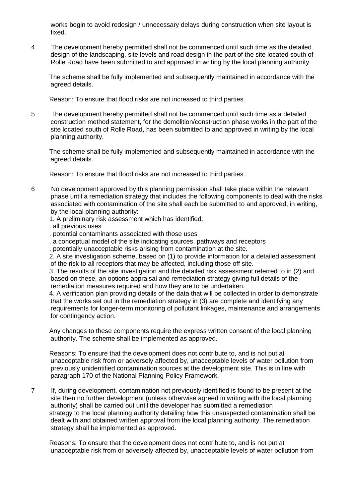works begin to avoid redesign / unnecessary delays during construction when site layout is fixed.

4 The development hereby permitted shall not be commenced until such time as the detailed design of the landscaping, site levels and road design in the part of the site located south of Rolle Road have been submitted to and approved in writing by the local planning authority.

 The scheme shall be fully implemented and subsequently maintained in accordance with the agreed details.

Reason: To ensure that flood risks are not increased to third parties.

5 The development hereby permitted shall not be commenced until such time as a detailed construction method statement, for the demolition/construction phase works in the part of the site located south of Rolle Road, has been submitted to and approved in writing by the local planning authority.

 The scheme shall be fully implemented and subsequently maintained in accordance with the agreed details.

Reason: To ensure that flood risks are not increased to third parties.

- 6 No development approved by this planning permission shall take place within the relevant phase until a remediation strategy that includes the following components to deal with the risks associated with contamination of the site shall each be submitted to and approved, in writing, by the local planning authority:
	- 1. A preliminary risk assessment which has identified:
	- . all previous uses
	- . potential contaminants associated with those uses
	- . a conceptual model of the site indicating sources, pathways and receptors
	- . potentially unacceptable risks arising from contamination at the site.

 2. A site investigation scheme, based on (1) to provide information for a detailed assessment of the risk to all receptors that may be affected, including those off site.

 3. The results of the site investigation and the detailed risk assessment referred to in (2) and, based on these, an options appraisal and remediation strategy giving full details of the remediation measures required and how they are to be undertaken.

 4. A verification plan providing details of the data that will be collected in order to demonstrate that the works set out in the remediation strategy in (3) are complete and identifying any requirements for longer-term monitoring of pollutant linkages, maintenance and arrangements for contingency action.

 Any changes to these components require the express written consent of the local planning authority. The scheme shall be implemented as approved.

 Reasons: To ensure that the development does not contribute to, and is not put at unacceptable risk from or adversely affected by, unacceptable levels of water pollution from previously unidentified contamination sources at the development site. This is in line with paragraph 170 of the National Planning Policy Framework.

7 If, during development, contamination not previously identified is found to be present at the site then no further development (unless otherwise agreed in writing with the local planning authority) shall be carried out until the developer has submitted a remediation strategy to the local planning authority detailing how this unsuspected contamination shall be dealt with and obtained written approval from the local planning authority. The remediation strategy shall be implemented as approved.

 Reasons: To ensure that the development does not contribute to, and is not put at unacceptable risk from or adversely affected by, unacceptable levels of water pollution from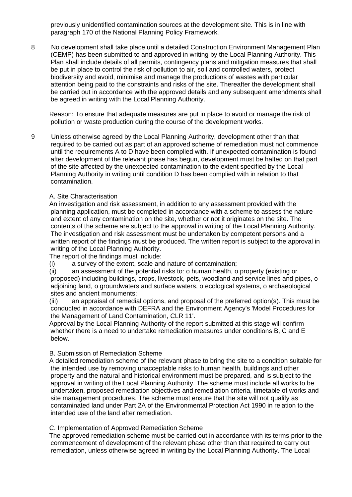previously unidentified contamination sources at the development site. This is in line with paragraph 170 of the National Planning Policy Framework.

8 No development shall take place until a detailed Construction Environment Management Plan (CEMP) has been submitted to and approved in writing by the Local Planning Authority. This Plan shall include details of all permits, contingency plans and mitigation measures that shall be put in place to control the risk of pollution to air, soil and controlled waters, protect biodiversity and avoid, minimise and manage the productions of wastes with particular attention being paid to the constraints and risks of the site. Thereafter the development shall be carried out in accordance with the approved details and any subsequent amendments shall be agreed in writing with the Local Planning Authority.

 Reason: To ensure that adequate measures are put in place to avoid or manage the risk of pollution or waste production during the course of the development works.

9 Unless otherwise agreed by the Local Planning Authority, development other than that required to be carried out as part of an approved scheme of remediation must not commence until the requirements A to D have been complied with. If unexpected contamination is found after development of the relevant phase has begun, development must be halted on that part of the site affected by the unexpected contamination to the extent specified by the Local Planning Authority in writing until condition D has been complied with in relation to that contamination.

### A. Site Characterisation

 An investigation and risk assessment, in addition to any assessment provided with the planning application, must be completed in accordance with a scheme to assess the nature and extent of any contamination on the site, whether or not it originates on the site. The contents of the scheme are subject to the approval in writing of the Local Planning Authority. The investigation and risk assessment must be undertaken by competent persons and a written report of the findings must be produced. The written report is subject to the approval in writing of the Local Planning Authority.

The report of the findings must include:

(i) a survey of the extent, scale and nature of contamination;

 (ii) an assessment of the potential risks to: o human health, o property (existing or proposed) including buildings, crops, livestock, pets, woodland and service lines and pipes, o adjoining land, o groundwaters and surface waters, o ecological systems, o archaeological sites and ancient monuments;

 (iii) an appraisal of remedial options, and proposal of the preferred option(s). This must be conducted in accordance with DEFRA and the Environment Agency's 'Model Procedures for the Management of Land Contamination, CLR 11'.

 Approval by the Local Planning Authority of the report submitted at this stage will confirm whether there is a need to undertake remediation measures under conditions B, C and E below.

### B. Submission of Remediation Scheme

 A detailed remediation scheme of the relevant phase to bring the site to a condition suitable for the intended use by removing unacceptable risks to human health, buildings and other property and the natural and historical environment must be prepared, and is subject to the approval in writing of the Local Planning Authority. The scheme must include all works to be undertaken, proposed remediation objectives and remediation criteria, timetable of works and site management procedures. The scheme must ensure that the site will not qualify as contaminated land under Part 2A of the Environmental Protection Act 1990 in relation to the intended use of the land after remediation.

C. Implementation of Approved Remediation Scheme

 The approved remediation scheme must be carried out in accordance with its terms prior to the commencement of development of the relevant phase other than that required to carry out remediation, unless otherwise agreed in writing by the Local Planning Authority. The Local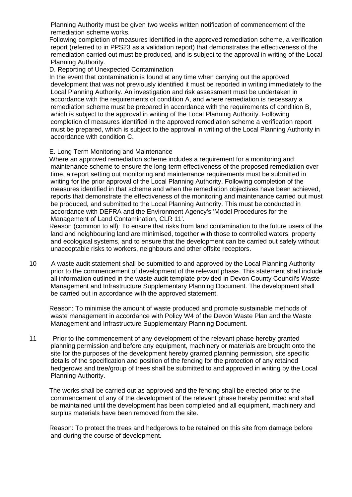Planning Authority must be given two weeks written notification of commencement of the remediation scheme works.

 Following completion of measures identified in the approved remediation scheme, a verification report (referred to in PPS23 as a validation report) that demonstrates the effectiveness of the remediation carried out must be produced, and is subject to the approval in writing of the Local Planning Authority.

D. Reporting of Unexpected Contamination

 In the event that contamination is found at any time when carrying out the approved development that was not previously identified it must be reported in writing immediately to the Local Planning Authority. An investigation and risk assessment must be undertaken in accordance with the requirements of condition A, and where remediation is necessary a remediation scheme must be prepared in accordance with the requirements of condition B, which is subject to the approval in writing of the Local Planning Authority. Following completion of measures identified in the approved remediation scheme a verification report must be prepared, which is subject to the approval in writing of the Local Planning Authority in accordance with condition C.

## E. Long Term Monitoring and Maintenance

 Where an approved remediation scheme includes a requirement for a monitoring and maintenance scheme to ensure the long-term effectiveness of the proposed remediation over time, a report setting out monitoring and maintenance requirements must be submitted in writing for the prior approval of the Local Planning Authority. Following completion of the measures identified in that scheme and when the remediation objectives have been achieved, reports that demonstrate the effectiveness of the monitoring and maintenance carried out must be produced, and submitted to the Local Planning Authority. This must be conducted in accordance with DEFRA and the Environment Agency's 'Model Procedures for the Management of Land Contamination, CLR 11'.

 Reason (common to all): To ensure that risks from land contamination to the future users of the land and neighbouring land are minimised, together with those to controlled waters, property and ecological systems, and to ensure that the development can be carried out safely without unacceptable risks to workers, neighbours and other offsite receptors.

10 A waste audit statement shall be submitted to and approved by the Local Planning Authority prior to the commencement of development of the relevant phase. This statement shall include all information outlined in the waste audit template provided in Devon County Council's Waste Management and Infrastructure Supplementary Planning Document. The development shall be carried out in accordance with the approved statement.

 Reason: To minimise the amount of waste produced and promote sustainable methods of waste management in accordance with Policy W4 of the Devon Waste Plan and the Waste Management and Infrastructure Supplementary Planning Document.

11 Prior to the commencement of any development of the relevant phase hereby granted planning permission and before any equipment, machinery or materials are brought onto the site for the purposes of the development hereby granted planning permission, site specific details of the specification and position of the fencing for the protection of any retained hedgerows and tree/group of trees shall be submitted to and approved in writing by the Local Planning Authority.

 The works shall be carried out as approved and the fencing shall be erected prior to the commencement of any of the development of the relevant phase hereby permitted and shall be maintained until the development has been completed and all equipment, machinery and surplus materials have been removed from the site.

 Reason: To protect the trees and hedgerows to be retained on this site from damage before and during the course of development.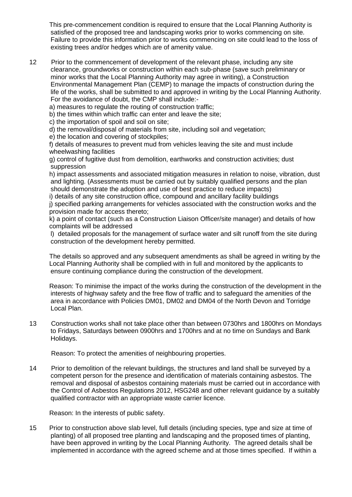This pre-commencement condition is required to ensure that the Local Planning Authority is satisfied of the proposed tree and landscaping works prior to works commencing on site. Failure to provide this information prior to works commencing on site could lead to the loss of existing trees and/or hedges which are of amenity value.

12 Prior to the commencement of development of the relevant phase, including any site clearance, groundworks or construction within each sub-phase (save such preliminary or minor works that the Local Planning Authority may agree in writing), a Construction Environmental Management Plan (CEMP) to manage the impacts of construction during the life of the works, shall be submitted to and approved in writing by the Local Planning Authority. For the avoidance of doubt, the CMP shall include:-

a) measures to regulate the routing of construction traffic;

b) the times within which traffic can enter and leave the site;

c) the importation of spoil and soil on site;

d) the removal/disposal of materials from site, including soil and vegetation;

e) the location and covering of stockpiles;

 f) details of measures to prevent mud from vehicles leaving the site and must include wheelwashing facilities

 g) control of fugitive dust from demolition, earthworks and construction activities; dust suppression

 h) impact assessments and associated mitigation measures in relation to noise, vibration, dust and lighting. (Assessments must be carried out by suitably qualified persons and the plan should demonstrate the adoption and use of best practice to reduce impacts)

i) details of any site construction office, compound and ancillary facility buildings

 j) specified parking arrangements for vehicles associated with the construction works and the provision made for access thereto;

 k) a point of contact (such as a Construction Liaison Officer/site manager) and details of how complaints will be addressed

l) detailed proposals for the management of surface water and silt runoff from the site during construction of the development hereby permitted.

 The details so approved and any subsequent amendments as shall be agreed in writing by the Local Planning Authority shall be complied with in full and monitored by the applicants to ensure continuing compliance during the construction of the development.

 Reason: To minimise the impact of the works during the construction of the development in the interests of highway safety and the free flow of traffic and to safeguard the amenities of the area in accordance with Policies DM01, DM02 and DM04 of the North Devon and Torridge Local Plan.

13 Construction works shall not take place other than between 0730hrs and 1800hrs on Mondays to Fridays, Saturdays between 0900hrs and 1700hrs and at no time on Sundays and Bank Holidays.

Reason: To protect the amenities of neighbouring properties.

14 Prior to demolition of the relevant buildings, the structures and land shall be surveyed by a competent person for the presence and identification of materials containing asbestos. The removal and disposal of asbestos containing materials must be carried out in accordance with the Control of Asbestos Regulations 2012, HSG248 and other relevant guidance by a suitably qualified contractor with an appropriate waste carrier licence.

Reason: In the interests of public safety.

15 Prior to construction above slab level, full details (including species, type and size at time of planting) of all proposed tree planting and landscaping and the proposed times of planting, have been approved in writing by the Local Planning Authority. The agreed details shall be implemented in accordance with the agreed scheme and at those times specified. If within a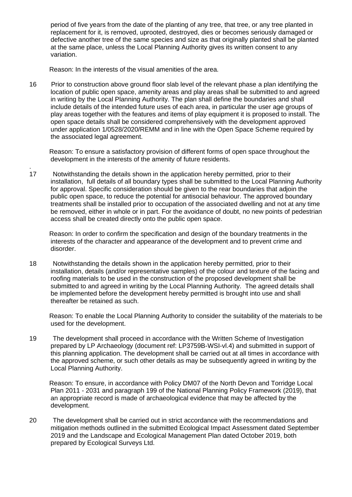period of five years from the date of the planting of any tree, that tree, or any tree planted in replacement for it, is removed, uprooted, destroyed, dies or becomes seriously damaged or defective another tree of the same species and size as that originally planted shall be planted at the same place, unless the Local Planning Authority gives its written consent to any variation.

Reason: In the interests of the visual amenities of the area.

16 Prior to construction above ground floor slab level of the relevant phase a plan identifying the location of public open space, amenity areas and play areas shall be submitted to and agreed in writing by the Local Planning Authority. The plan shall define the boundaries and shall include details of the intended future uses of each area, in particular the user age groups of play areas together with the features and items of play equipment it is proposed to install. The open space details shall be considered comprehensively with the development approved under application 1/0528/2020/REMM and in line with the Open Space Scheme required by the associated legal agreement.

 Reason: To ensure a satisfactory provision of different forms of open space throughout the development in the interests of the amenity of future residents.

. 17 Notwithstanding the details shown in the application hereby permitted, prior to their installation, full details of all boundary types shall be submitted to the Local Planning Authority for approval. Specific consideration should be given to the rear boundaries that adjoin the public open space, to reduce the potential for antisocial behaviour. The approved boundary treatments shall be installed prior to occupation of the associated dwelling and not at any time be removed, either in whole or in part. For the avoidance of doubt, no new points of pedestrian access shall be created directly onto the public open space.

 Reason: In order to confirm the specification and design of the boundary treatments in the interests of the character and appearance of the development and to prevent crime and disorder.

18 Notwithstanding the details shown in the application hereby permitted, prior to their installation, details (and/or representative samples) of the colour and texture of the facing and roofing materials to be used in the construction of the proposed development shall be submitted to and agreed in writing by the Local Planning Authority. The agreed details shall be implemented before the development hereby permitted is brought into use and shall thereafter be retained as such.

 Reason: To enable the Local Planning Authority to consider the suitability of the materials to be used for the development.

19 The development shall proceed in accordance with the Written Scheme of Investigation prepared by LP Archaeology (document ref: LP3759B-WSI-vl.4) and submitted in support of this planning application. The development shall be carried out at all times in accordance with the approved scheme, or such other details as may be subsequently agreed in writing by the Local Planning Authority.

 Reason: To ensure, in accordance with Policy DM07 of the North Devon and Torridge Local Plan 2011 - 2031 and paragraph 199 of the National Planning Policy Framework (2019), that an appropriate record is made of archaeological evidence that may be affected by the development.

20 The development shall be carried out in strict accordance with the recommendations and mitigation methods outlined in the submitted Ecological Impact Assessment dated September 2019 and the Landscape and Ecological Management Plan dated October 2019, both prepared by Ecological Surveys Ltd.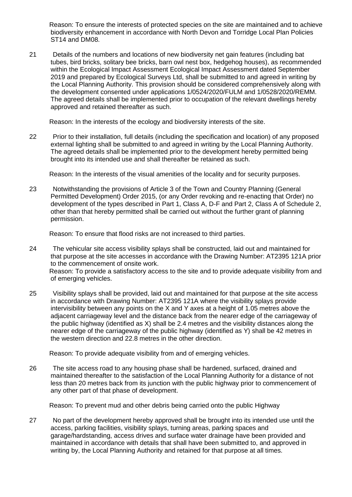Reason: To ensure the interests of protected species on the site are maintained and to achieve biodiversity enhancement in accordance with North Devon and Torridge Local Plan Policies ST14 and DM08.

21 Details of the numbers and locations of new biodiversity net gain features (including bat tubes, bird bricks, solitary bee bricks, barn owl nest box, hedgehog houses), as recommended within the Ecological Impact Assessment Ecological Impact Assessment dated September 2019 and prepared by Ecological Surveys Ltd, shall be submitted to and agreed in writing by the Local Planning Authority. This provision should be considered comprehensively along with the development consented under applications 1/0524/2020/FULM and 1/0528/2020/REMM. The agreed details shall be implemented prior to occupation of the relevant dwellings hereby approved and retained thereafter as such.

Reason: In the interests of the ecology and biodiversity interests of the site.

22 Prior to their installation, full details (including the specification and location) of any proposed external lighting shall be submitted to and agreed in writing by the Local Planning Authority. The agreed details shall be implemented prior to the development hereby permitted being brought into its intended use and shall thereafter be retained as such.

Reason: In the interests of the visual amenities of the locality and for security purposes.

23 Notwithstanding the provisions of Article 3 of the Town and Country Planning (General Permitted Development) Order 2015, (or any Order revoking and re-enacting that Order) no development of the types described in Part 1, Class A, D-F and Part 2, Class A of Schedule 2, other than that hereby permitted shall be carried out without the further grant of planning permission.

Reason: To ensure that flood risks are not increased to third parties.

- 24 The vehicular site access visibility splays shall be constructed, laid out and maintained for that purpose at the site accesses in accordance with the Drawing Number: AT2395 121A prior to the commencement of onsite work. Reason: To provide a satisfactory access to the site and to provide adequate visibility from and of emerging vehicles.
- 25 Visibility splays shall be provided, laid out and maintained for that purpose at the site access in accordance with Drawing Number: AT2395 121A where the visibility splays provide intervisibility between any points on the X and Y axes at a height of 1.05 metres above the adjacent carriageway level and the distance back from the nearer edge of the carriageway of the public highway (identified as X) shall be 2.4 metres and the visibility distances along the nearer edge of the carriageway of the public highway (identified as Y) shall be 42 metres in the western direction and 22.8 metres in the other direction.

Reason: To provide adequate visibility from and of emerging vehicles.

26 The site access road to any housing phase shall be hardened, surfaced, drained and maintained thereafter to the satisfaction of the Local Planning Authority for a distance of not less than 20 metres back from its junction with the public highway prior to commencement of any other part of that phase of development.

Reason: To prevent mud and other debris being carried onto the public Highway

27 No part of the development hereby approved shall be brought into its intended use until the access, parking facilities, visibility splays, turning areas, parking spaces and garage/hardstanding, access drives and surface water drainage have been provided and maintained in accordance with details that shall have been submitted to, and approved in writing by, the Local Planning Authority and retained for that purpose at all times.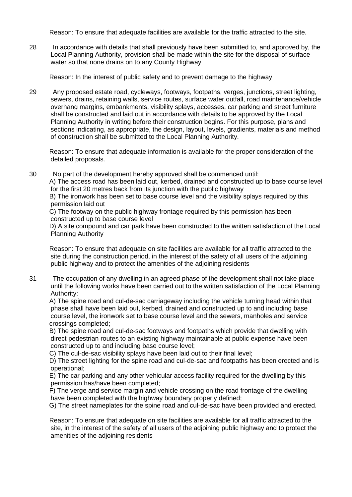Reason: To ensure that adequate facilities are available for the traffic attracted to the site.

28 In accordance with details that shall previously have been submitted to, and approved by, the Local Planning Authority, provision shall be made within the site for the disposal of surface water so that none drains on to any County Highway

Reason: In the interest of public safety and to prevent damage to the highway

29 Any proposed estate road, cycleways, footways, footpaths, verges, junctions, street lighting, sewers, drains, retaining walls, service routes, surface water outfall, road maintenance/vehicle overhang margins, embankments, visibility splays, accesses, car parking and street furniture shall be constructed and laid out in accordance with details to be approved by the Local Planning Authority in writing before their construction begins. For this purpose, plans and sections indicating, as appropriate, the design, layout, levels, gradients, materials and method of construction shall be submitted to the Local Planning Authority.

 Reason: To ensure that adequate information is available for the proper consideration of the detailed proposals.

30 No part of the development hereby approved shall be commenced until:

 A) The access road has been laid out, kerbed, drained and constructed up to base course level for the first 20 metres back from its junction with the public highway

 B) The ironwork has been set to base course level and the visibility splays required by this permission laid out

 C) The footway on the public highway frontage required by this permission has been constructed up to base course level

 D) A site compound and car park have been constructed to the written satisfaction of the Local Planning Authority

 Reason: To ensure that adequate on site facilities are available for all traffic attracted to the site during the construction period, in the interest of the safety of all users of the adjoining public highway and to protect the amenities of the adjoining residents

31 The occupation of any dwelling in an agreed phase of the development shall not take place until the following works have been carried out to the written satisfaction of the Local Planning Authority:

 A) The spine road and cul-de-sac carriageway including the vehicle turning head within that phase shall have been laid out, kerbed, drained and constructed up to and including base course level, the ironwork set to base course level and the sewers, manholes and service crossings completed;

 B) The spine road and cul-de-sac footways and footpaths which provide that dwelling with direct pedestrian routes to an existing highway maintainable at public expense have been constructed up to and including base course level;

C) The cul-de-sac visibility splays have been laid out to their final level;

 D) The street lighting for the spine road and cul-de-sac and footpaths has been erected and is operational;

 E) The car parking and any other vehicular access facility required for the dwelling by this permission has/have been completed;

 F) The verge and service margin and vehicle crossing on the road frontage of the dwelling have been completed with the highway boundary properly defined;

G) The street nameplates for the spine road and cul-de-sac have been provided and erected.

 Reason: To ensure that adequate on site facilities are available for all traffic attracted to the site, in the interest of the safety of all users of the adjoining public highway and to protect the amenities of the adjoining residents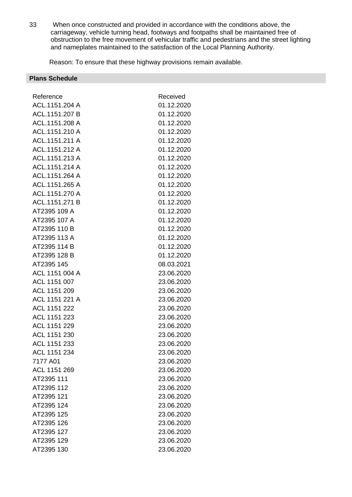33 When once constructed and provided in accordance with the conditions above, the carriageway, vehicle turning head, footways and footpaths shall be maintained free of obstruction to the free movement of vehicular traffic and pedestrians and the street lighting and nameplates maintained to the satisfaction of the Local Planning Authority.

Reason: To ensure that these highway provisions remain available.

| <b>Plans Schedule</b> |            |
|-----------------------|------------|
|                       |            |
| Reference             | Received   |
| ACL.1151.204 A        | 01.12.2020 |
| ACL.1151.207 B        | 01.12.2020 |
| ACL.1151.208 A        | 01.12.2020 |
| ACL.1151.210 A        | 01.12.2020 |
| ACL.1151.211 A        | 01.12.2020 |
| ACL.1151.212 A        | 01.12.2020 |
| ACL.1151.213 A        | 01.12.2020 |
| ACL.1151.214 A        | 01.12.2020 |
| ACL.1151.264 A        | 01.12.2020 |
| ACL.1151.265 A        | 01.12.2020 |
| ACL.1151.270 A        | 01.12.2020 |
| ACL.1151.271 B        | 01.12.2020 |
| AT2395 109 A          | 01.12.2020 |
| AT2395 107 A          | 01.12.2020 |
| AT2395 110 B          | 01.12.2020 |
| AT2395 113 A          | 01.12.2020 |
| AT2395 114 B          | 01.12.2020 |
| AT2395 128 B          | 01.12.2020 |
| AT2395 145            | 08.03.2021 |
| ACL 1151 004 A        | 23.06.2020 |
| ACL 1151 007          | 23.06.2020 |
| ACL 1151 209          | 23.06.2020 |
| ACL 1151 221 A        | 23.06.2020 |
| ACL 1151 222          | 23.06.2020 |
| ACL 1151 223          | 23.06.2020 |
| ACL 1151 229          | 23.06.2020 |
| ACL 1151 230          | 23.06.2020 |
| ACL 1151 233          | 23.06.2020 |
| ACL 1151 234          | 23.06.2020 |
| 7177 A01              | 23.06.2020 |
| ACL 1151 269          | 23.06.2020 |
| AT2395 111            | 23.06.2020 |
| AT2395 112            | 23.06.2020 |
| AT2395 121            | 23.06.2020 |
| AT2395 124            | 23.06.2020 |
| AT2395 125            | 23.06.2020 |
| AT2395 126            | 23.06.2020 |
| AT2395 127            | 23.06.2020 |
| AT2395 129            | 23.06.2020 |
| AT2395 130            | 23.06.2020 |